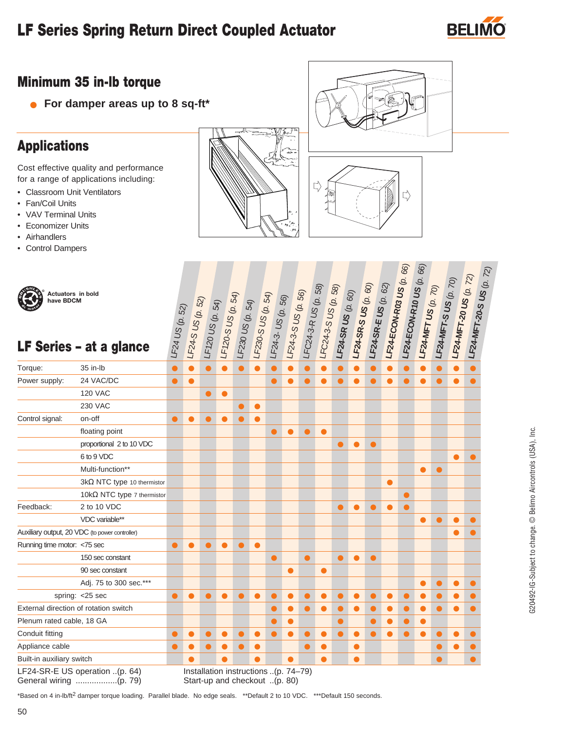## **LF Series Spring Return Direct Coupled Actuator BELI**



### **Minimum 35 in-lb torque**

● **For damper areas up to 8 sq-ft\***

### **Applications**

Cost effective quality and performance for a range of applications including:

- Classroom Unit Ventilators
- Fan/Coil Units
- VAV Terminal Units
- Economizer Units
- Airhandlers
- Control Dampers





| Actuators in bold<br>have BDCM        | LF Series - at a glance                        | LF24US(p. 52) | LF24-S US (p. 52) |           |           |                                      |           |           |           |           | $\begin{array}{ l l } \hline &1720\cup8&0.22/12\&16/120\&16/120\&16/120\&16/120\&16/120\&16/120\&16/120\&16/120\&16/120\&16/120\&16/120\&16/120\&16/120\&16/120\&16/120\&16/120\&16/120\&16/120\&16/120\&16/120\&16/120\&16/120\&16/120\&16/1$ | $\frac{1.524 - S }{1.50}$ US (p. 60) | LF24-SR-S US (p. 60) | $\frac{1.524 - S R - E}{1.02}$ US (p. 62) | LF24-ECON-R03 US (p. 66) | LF24-ECON-R10 US $(\rho, 66)$ | LF24-MFT US (p. 70) | $k_{24-MFT-S}$ US (p. 70) | <b>LF24-MFT-20 US</b> (p. 72) | LF24-MFT-20-S US (p. 72) |  |
|---------------------------------------|------------------------------------------------|---------------|-------------------|-----------|-----------|--------------------------------------|-----------|-----------|-----------|-----------|------------------------------------------------------------------------------------------------------------------------------------------------------------------------------------------------------------------------------------------------|--------------------------------------|----------------------|-------------------------------------------|--------------------------|-------------------------------|---------------------|---------------------------|-------------------------------|--------------------------|--|
|                                       |                                                |               |                   |           |           |                                      |           |           |           |           |                                                                                                                                                                                                                                                |                                      |                      |                                           |                          |                               |                     |                           |                               |                          |  |
| Torque:                               | 35 in-lb                                       | $\bullet$     | $\bullet$         | $\bullet$ | $\bullet$ | $\bullet$                            |           | $\bullet$ | $\bullet$ |           | $\bullet$                                                                                                                                                                                                                                      | $\bullet$                            | $\bullet$            | $\bullet$                                 | $\bullet$                |                               | $\bullet$           | $\bullet$                 | $\bullet$                     |                          |  |
| Power supply:                         | 24 VAC/DC                                      | $\bullet$     | $\bullet$         |           |           |                                      |           | $\bullet$ | $\bullet$ | $\bullet$ | $\bullet$                                                                                                                                                                                                                                      | $\bullet$                            | $\bullet$            | $\bullet$                                 | $\bullet$                | $\bullet$                     | $\bullet$           | $\bullet$                 | $\bullet$                     | $\bullet$                |  |
|                                       | <b>120 VAC</b>                                 |               |                   | $\bullet$ | $\bullet$ |                                      |           |           |           |           |                                                                                                                                                                                                                                                |                                      |                      |                                           |                          |                               |                     |                           |                               |                          |  |
|                                       | <b>230 VAC</b>                                 |               |                   |           |           | $\bullet$                            | $\bullet$ |           |           |           |                                                                                                                                                                                                                                                |                                      |                      |                                           |                          |                               |                     |                           |                               |                          |  |
| Control signal:                       | on-off                                         | $\bullet$     | $\bullet$         | $\bullet$ | $\bullet$ | $\bullet$                            | $\bullet$ |           |           |           |                                                                                                                                                                                                                                                |                                      |                      |                                           |                          |                               |                     |                           |                               |                          |  |
|                                       | floating point                                 |               |                   |           |           |                                      |           | $\bullet$ | $\bullet$ | $\bullet$ | $\bullet$                                                                                                                                                                                                                                      |                                      |                      |                                           |                          |                               |                     |                           |                               |                          |  |
|                                       | proportional 2 to 10 VDC                       |               |                   |           |           |                                      |           |           |           |           |                                                                                                                                                                                                                                                | $\bullet$                            | $\bullet$            | $\bullet$                                 |                          |                               |                     |                           |                               |                          |  |
|                                       | 6 to 9 VDC                                     |               |                   |           |           |                                      |           |           |           |           |                                                                                                                                                                                                                                                |                                      |                      |                                           |                          |                               |                     |                           | $\bullet$                     | $\bullet$                |  |
|                                       | Multi-function**                               |               |                   |           |           |                                      |           |           |           |           |                                                                                                                                                                                                                                                |                                      |                      |                                           |                          |                               | $\bullet$           | $\bullet$                 |                               |                          |  |
|                                       | $3k\Omega$ NTC type 10 thermistor              |               |                   |           |           |                                      |           |           |           |           |                                                                                                                                                                                                                                                |                                      |                      |                                           | $\bullet$                |                               |                     |                           |                               |                          |  |
|                                       | 10kΩ NTC type 7 thermistor                     |               |                   |           |           |                                      |           |           |           |           |                                                                                                                                                                                                                                                |                                      |                      |                                           |                          | $\bullet$                     |                     |                           |                               |                          |  |
| Feedback:                             | 2 to 10 VDC                                    |               |                   |           |           |                                      |           |           |           |           |                                                                                                                                                                                                                                                | $\bullet$                            | $\bullet$            | $\bullet$                                 | $\bullet$                | $\bullet$                     |                     |                           |                               |                          |  |
|                                       | VDC variable**                                 |               |                   |           |           |                                      |           |           |           |           |                                                                                                                                                                                                                                                |                                      |                      |                                           |                          |                               | $\bullet$           | $\bullet$                 | ●                             | $\bullet$                |  |
|                                       | Auxiliary output, 20 VDC (to power controller) |               |                   |           |           |                                      |           |           |           |           |                                                                                                                                                                                                                                                |                                      |                      |                                           |                          |                               |                     |                           | $\bullet$                     | $\bullet$                |  |
| Running time motor: <75 sec           |                                                | $\bullet$     | $\bullet$         | $\bullet$ | $\bullet$ | $\bullet$                            | $\bullet$ |           |           |           |                                                                                                                                                                                                                                                |                                      |                      |                                           |                          |                               |                     |                           |                               |                          |  |
|                                       | 150 sec constant                               |               |                   |           |           |                                      |           | $\bullet$ |           | $\bullet$ |                                                                                                                                                                                                                                                | $\bullet$                            | ●                    | $\bullet$                                 |                          |                               |                     |                           |                               |                          |  |
|                                       | 90 sec constant                                |               |                   |           |           |                                      |           |           | $\bullet$ |           | $\bullet$                                                                                                                                                                                                                                      |                                      |                      |                                           |                          |                               |                     |                           |                               |                          |  |
|                                       | Adj. 75 to 300 sec.***                         |               |                   |           |           |                                      |           |           |           |           |                                                                                                                                                                                                                                                |                                      |                      |                                           |                          |                               | $\bullet$           | $\bullet$                 | $\bullet$                     | $\bullet$                |  |
| spring: < 25 sec                      |                                                | $\bullet$     | $\bullet$         | $\bullet$ | $\bullet$ | $\bullet$                            |           | $\bullet$ | $\bullet$ | $\bullet$ | $\bullet$                                                                                                                                                                                                                                      |                                      | $\bullet$            | $\bullet$                                 | $\bullet$                | $\bullet$                     | $\bullet$           | $\bullet$                 | $\bullet$                     |                          |  |
| External direction of rotation switch |                                                |               |                   |           |           |                                      |           | $\bullet$ | $\bullet$ | $\bullet$ | $\bullet$                                                                                                                                                                                                                                      | $\bullet$                            | $\bullet$            | $\bullet$                                 | $\bullet$                | $\bullet$                     | $\bullet$           | $\bullet$                 | $\bullet$                     | $\bullet$                |  |
| Plenum rated cable, 18 GA             |                                                |               |                   |           |           |                                      |           | $\bullet$ | $\bullet$ |           |                                                                                                                                                                                                                                                | $\bullet$                            |                      | $\bullet$                                 | $\bullet$                | $\bullet$                     | $\bullet$           |                           |                               |                          |  |
| Conduit fitting                       |                                                | $\bullet$     | $\bullet$         | $\bullet$ | $\bullet$ | $\bullet$                            | $\bullet$ | $\bullet$ | $\bullet$ | $\bullet$ | $\bullet$                                                                                                                                                                                                                                      | $\bullet$                            | $\bullet$            | $\bullet$                                 | $\bullet$                | $\bullet$                     | $\bullet$           | $\bullet$                 | $\bullet$                     | $\bullet$                |  |
| Appliance cable                       |                                                | $\bullet$     | $\bullet$         | ●         | ●         | $\bullet$                            | $\bullet$ |           |           | $\bullet$ | $\bullet$                                                                                                                                                                                                                                      |                                      | $\bullet$            |                                           |                          |                               |                     | $\bullet$                 | $\bullet$                     | $\bullet$                |  |
| Built-in auxiliary switch             |                                                |               | $\bullet$         |           | ●         |                                      |           |           | $\bullet$ |           | $\bullet$                                                                                                                                                                                                                                      |                                      | $\bullet$            |                                           |                          |                               |                     | $\bullet$                 |                               | $\bullet$                |  |
| LF24-SR-E US operation (p. 64)        |                                                |               |                   |           |           | Installation instructions (p. 74–79) |           |           |           |           |                                                                                                                                                                                                                                                |                                      |                      |                                           |                          |                               |                     |                           |                               |                          |  |

\*Based on 4 in-lb/ft2 damper torque loading. Parallel blade. No edge seals. \*\*Default 2 to 10 VDC. \*\*\*Default 150 seconds.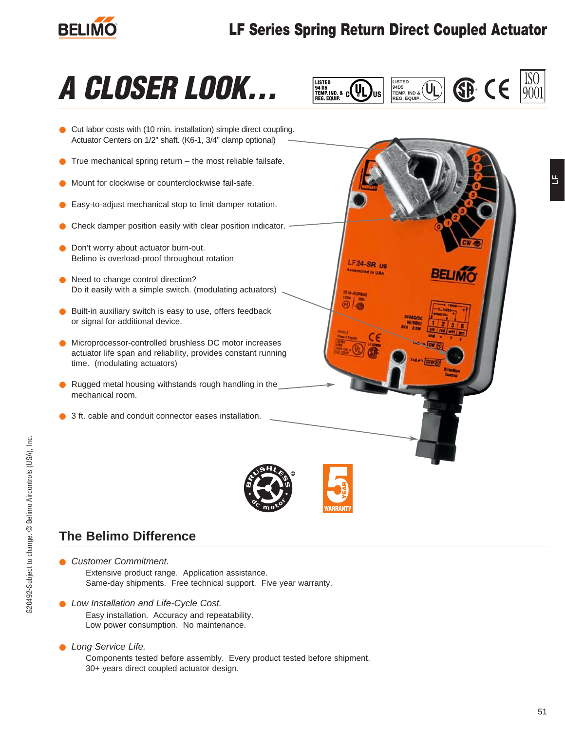

### **LF Series Spring Return Direct Coupled Actuator**







### **The Belimo Difference**

- Customer Commitment. Extensive product range. Application assistance. Same-day shipments. Free technical support. Five year warranty.
- Low Installation and Life-Cycle Cost. Easy installation. Accuracy and repeatability. Low power consumption. No maintenance.
- Long Service Life. Components tested before assembly. Every product tested before shipment. 30+ years direct coupled actuator design.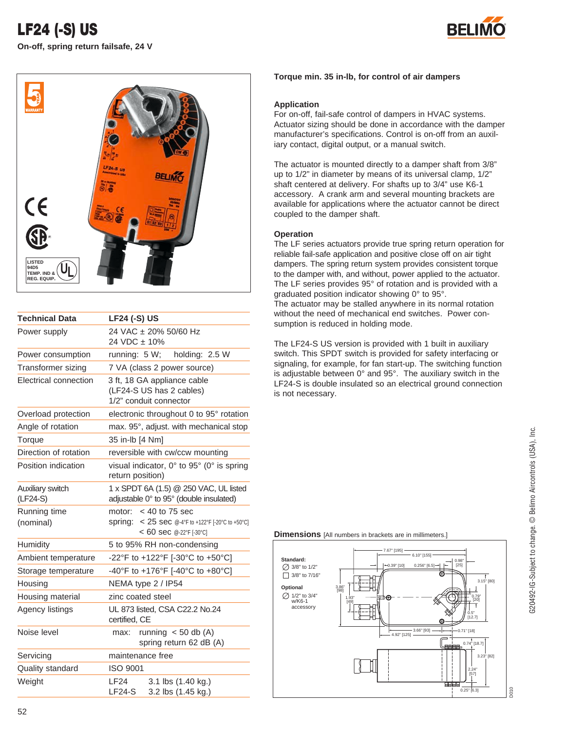



| <b>Technical Data</b>        | <b>LF24 (-S) US</b>                                                                                       |
|------------------------------|-----------------------------------------------------------------------------------------------------------|
| Power supply                 | 24 VAC ± 20% 50/60 Hz<br>24 VDC ± 10%                                                                     |
| Power consumption            | holding: 2.5 W<br>running: $5 W$ ;                                                                        |
| Transformer sizing           | 7 VA (class 2 power source)                                                                               |
| Electrical connection        | 3 ft, 18 GA appliance cable<br>(LF24-S US has 2 cables)<br>1/2" conduit connector                         |
| Overload protection          | electronic throughout 0 to 95° rotation                                                                   |
| Angle of rotation            | max. 95°, adjust. with mechanical stop                                                                    |
| Torque                       | 35 in-lb [4 Nm]                                                                                           |
| Direction of rotation        | reversible with cw/ccw mounting                                                                           |
| Position indication          | visual indicator, $0^\circ$ to $95^\circ$ (0° is spring<br>return position)                               |
| Auxiliary switch<br>(LF24-S) | 1 x SPDT 6A (1.5) @ 250 VAC, UL listed<br>adjustable 0° to 95° (double insulated)                         |
| Running time<br>(nominal)    | motor: $<$ 40 to 75 sec<br>Spring: < 25 sec @-4°F to +122°F [-20°C to +50°C]<br>$< 60$ sec @-22°F [-30°C] |
| Humidity                     | 5 to 95% RH non-condensing                                                                                |
| Ambient temperature          | -22°F to +122°F [-30°C to +50°C]                                                                          |
| Storage temperature          | -40°F to +176°F [-40°C to +80°C]                                                                          |
| Housing                      | NEMA type 2 / IP54                                                                                        |
| Housing material             | zinc coated steel                                                                                         |
| Agency listings              | UL 873 listed, CSA C22.2 No.24<br>certified, CE                                                           |
| Noise level                  | max: running $<$ 50 db (A)<br>spring return 62 dB (A)                                                     |
| Servicing                    | maintenance free                                                                                          |
| Quality standard             | <b>ISO 9001</b>                                                                                           |
| Weight                       | 3.1 lbs (1.40 kg.)<br>LF24<br>3.2 lbs (1.45 kg.)<br>$LF24-S$                                              |

### **Torque min. 35 in-lb, for control of air dampers**

### **Application**

For on-off, fail-safe control of dampers in HVAC systems. Actuator sizing should be done in accordance with the damper manufacturer's specifications. Control is on-off from an auxiliary contact, digital output, or a manual switch.

The actuator is mounted directly to a damper shaft from 3/8" up to 1/2" in diameter by means of its universal clamp, 1/2" shaft centered at delivery. For shafts up to 3/4" use K6-1 accessory. A crank arm and several mounting brackets are available for applications where the actuator cannot be direct coupled to the damper shaft.

### **Operation**

The LF series actuators provide true spring return operation for reliable fail-safe application and positive close off on air tight dampers. The spring return system provides consistent torque to the damper with, and without, power applied to the actuator. The LF series provides 95° of rotation and is provided with a graduated position indicator showing 0° to 95°. The actuator may be stalled anywhere in its normal rotation without the need of mechanical end switches. Power consumption is reduced in holding mode.

The LF24-S US version is provided with 1 built in auxiliary switch. This SPDT switch is provided for safety interfacing or signaling, for example, for fan start-up. The switching function is adjustable between 0° and 95°. The auxiliary switch in the LF24-S is double insulated so an electrical ground connection is not necessary.

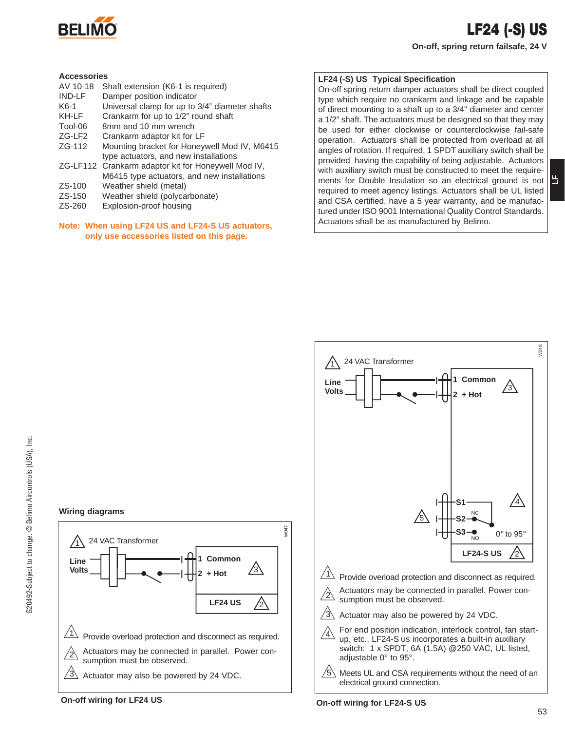

**LF**

### **Accessories**

- AV 10-18 Shaft extension (K6-1 is required)<br>IND-LE Damper position indicator
- Damper position indicator
- K6-1 Universal clamp for up to  $3/4$ " diameter shafts<br>KH-LF Crankarm for up to  $1/2$ " round shaft
- Crankarm for up to 1/2" round shaft
- Tool-06 8mm and 10 mm wrench
- ZG-LF2 Crankarm adaptor kit for LF
- ZG-112 Mounting bracket for Honeywell Mod IV, M6415 type actuators, and new installations
- ZG-LF112 Crankarm adaptor kit for Honeywell Mod IV, M6415 type actuators, and new installations
- ZS-100 Weather shield (metal)
- ZS-150 Weather shield (polycarbonate)
- ZS-260 Explosion-proof housing

### **Note: When using LF24 US and LF24-S US actuators, only use accessories listed on this page.**

### **LF24 (-S) US Typical Specification**

On-off spring return damper actuators shall be direct coupled type which require no crankarm and linkage and be capable of direct mounting to a shaft up to a 3/4" diameter and center a 1/2" shaft. The actuators must be designed so that they may be used for either clockwise or counterclockwise fail-safe operation. Actuators shall be protected from overload at all angles of rotation. If required, 1 SPDT auxiliary switch shall be provided having the capability of being adjustable. Actuators with auxiliary switch must be constructed to meet the requirements for Double Insulation so an electrical ground is not required to meet agency listings. Actuators shall be UL listed and CSA certified, have a 5 year warranty, and be manufactured under ISO 9001 International Quality Control Standards. Actuators shall be as manufactured by Belimo.



 $3\sqrt{2}$  Actuator may also be powered by 24 VDC.

sumption must be observed.

24 VAC Transformer

 $\sqrt{1}$  Provide overload protection and disconnect as required. Actuators may be connected in parallel. Power con-

**Volts** 3

**1 Common 2 + Hot**

**LF24 US**

 $\sqrt{2}$ 

W047

**Wiring diagrams**

1

**Line** 

 $/2$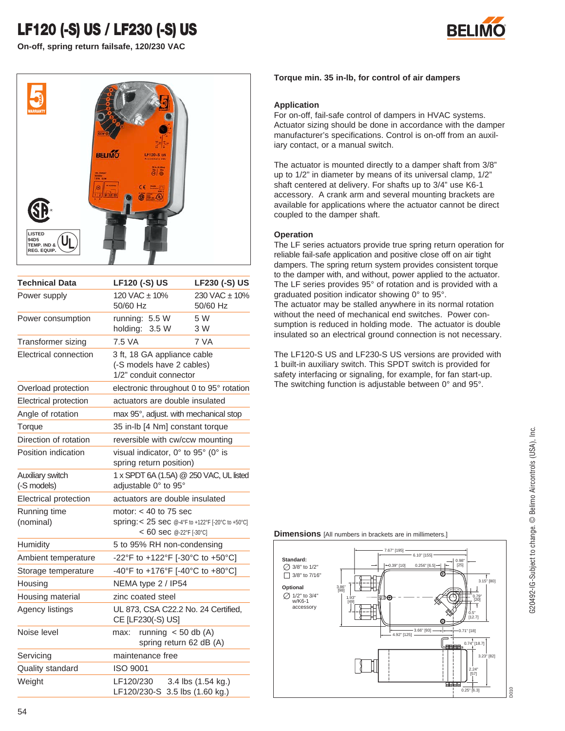# **LF120 (-S) US / LF230 (-S) US**







| <b>Technical Data</b>           | <b>LF120 (-S) US</b>                                                                                    | <b>LF230 (-S) US</b>            |
|---------------------------------|---------------------------------------------------------------------------------------------------------|---------------------------------|
| Power supply                    | 120 VAC ± 10%<br>50/60 Hz                                                                               | $230$ VAC $\pm$ 10%<br>50/60 Hz |
| Power consumption               | running: 5.5 W<br>holding:<br>3.5 W                                                                     | 5 W<br>3 W                      |
| Transformer sizing              | 7.5 VA                                                                                                  | 7 VA                            |
| Electrical connection           | 3 ft, 18 GA appliance cable<br>(-S models have 2 cables)<br>1/2" conduit connector                      |                                 |
| Overload protection             | electronic throughout 0 to 95° rotation                                                                 |                                 |
| Electrical protection           | actuators are double insulated                                                                          |                                 |
| Angle of rotation               | max 95°, adjust. with mechanical stop                                                                   |                                 |
| Torque                          | 35 in-lb [4 Nm] constant torque                                                                         |                                 |
| Direction of rotation           | reversible with cw/ccw mounting                                                                         |                                 |
| Position indication             | visual indicator, 0° to 95° (0° is<br>spring return position)                                           |                                 |
| Auxiliary switch<br>(-S models) | 1 x SPDT 6A (1.5A) @ 250 VAC, UL listed<br>adjustable 0° to 95°                                         |                                 |
| Electrical protection           | actuators are double insulated                                                                          |                                 |
| Running time<br>(nominal)       | motor: $<$ 40 to 75 sec<br>Spring: < 25 sec @-4°F to +122°F [-20°C to +50°C]<br>< 60 sec @-22°F [-30°C] |                                 |
| Humidity                        | 5 to 95% RH non-condensing                                                                              |                                 |
| Ambient temperature             | -22°F to +122°F [-30°C to +50°C]                                                                        |                                 |
| Storage temperature             | -40°F to +176°F [-40°C to +80°C]                                                                        |                                 |
| Housing                         | NEMA type $2/$ IP54                                                                                     |                                 |
| Housing material                | zinc coated steel                                                                                       |                                 |
| Agency listings                 | UL 873, CSA C22.2 No. 24 Certified,<br>CE [LF230(-S) US]                                                |                                 |
| Noise level                     | running $<$ 50 db (A)<br>max:<br>spring return 62 dB (A)                                                |                                 |
| Servicing                       | maintenance free                                                                                        |                                 |
| Quality standard                | <b>ISO 9001</b>                                                                                         |                                 |
| Weight                          | LF120/230<br>LF120/230-S 3.5 lbs (1.60 kg.)                                                             | 3.4 lbs (1.54 kg.)              |

### **Torque min. 35 in-lb, for control of air dampers**

### **Application**

For on-off, fail-safe control of dampers in HVAC systems. Actuator sizing should be done in accordance with the damper manufacturer's specifications. Control is on-off from an auxiliary contact, or a manual switch.

The actuator is mounted directly to a damper shaft from 3/8" up to 1/2" in diameter by means of its universal clamp, 1/2" shaft centered at delivery. For shafts up to 3/4" use K6-1 accessory. A crank arm and several mounting brackets are available for applications where the actuator cannot be direct coupled to the damper shaft.

### **Operation**

The LF series actuators provide true spring return operation for reliable fail-safe application and positive close off on air tight dampers. The spring return system provides consistent torque to the damper with, and without, power applied to the actuator. The LF series provides 95° of rotation and is provided with a graduated position indicator showing 0° to 95°. The actuator may be stalled anywhere in its normal rotation without the need of mechanical end switches. Power consumption is reduced in holding mode. The actuator is double insulated so an electrical ground connection is not necessary.

The LF120-S US and LF230-S US versions are provided with 1 built-in auxiliary switch. This SPDT switch is provided for safety interfacing or signaling, for example, for fan start-up. The switching function is adjustable between 0° and 95°.

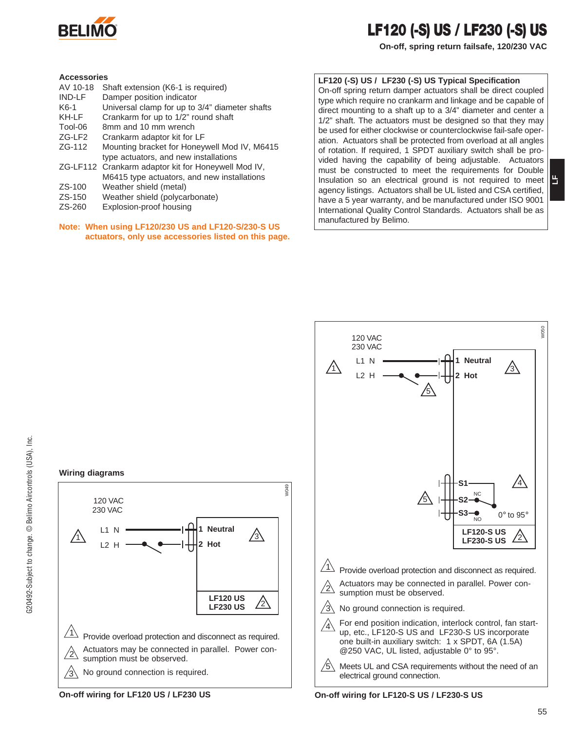

### **LF120 (-S) US / LF230 (-S) US**

**On-off, spring return failsafe, 120/230 VAC**

#### **Accessories**

- AV 10-18 Shaft extension (K6-1 is required)
- IND-LF Damper position indicator
- K6-1 Universal clamp for up to 3/4" diameter shafts
- KH-LF Crankarm for up to 1/2" round shaft
- Tool-06 8mm and 10 mm wrench<br>ZG-LF2 Crankarm adaptor kit for
- Crankarm adaptor kit for LF
- ZG-112 Mounting bracket for Honeywell Mod IV, M6415 type actuators, and new installations
- ZG-LF112 Crankarm adaptor kit for Honeywell Mod IV, M6415 type actuators, and new installations
- ZS-100 Weather shield (metal)
- ZS-150 Weather shield (polycarbonate)
- ZS-260 Explosion-proof housing

### **Note: When using LF120/230 US and LF120-S/230-S US actuators, only use accessories listed on this page.**

**1 Neutral 2 Hot**

**LF120 US LF230 US**

On-off spring return damper actuators shall be direct coupled type which require no crankarm and linkage and be capable of direct mounting to a shaft up to a 3/4" diameter and center a 1/2" shaft. The actuators must be designed so that they may be used for either clockwise or counterclockwise fail-safe operation. Actuators shall be protected from overload at all angles of rotation. If required, 1 SPDT auxiliary switch shall be provided having the capability of being adjustable. Actuators must be constructed to meet the requirements for Double Insulation so an electrical ground is not required to meet agency listings. Actuators shall be UL listed and CSA certified, have a 5 year warranty, and be manufactured under ISO 9001 International Quality Control Standards. Actuators shall be as manufactured by Belimo.

**LF120 (-S) US / LF230 (-S) US Typical Specification**



sumption must be observed. No ground connection is required.

### **On-off wiring for LF120 US / LF230 US On-off wiring for LF120-S US / LF230-S US**

**Wiring diagrams**

120 VAC 230 VAC

> L1 N  $12H$

1

 $/2\triangledown$ 

 $\sqrt{3}$ 

**LF**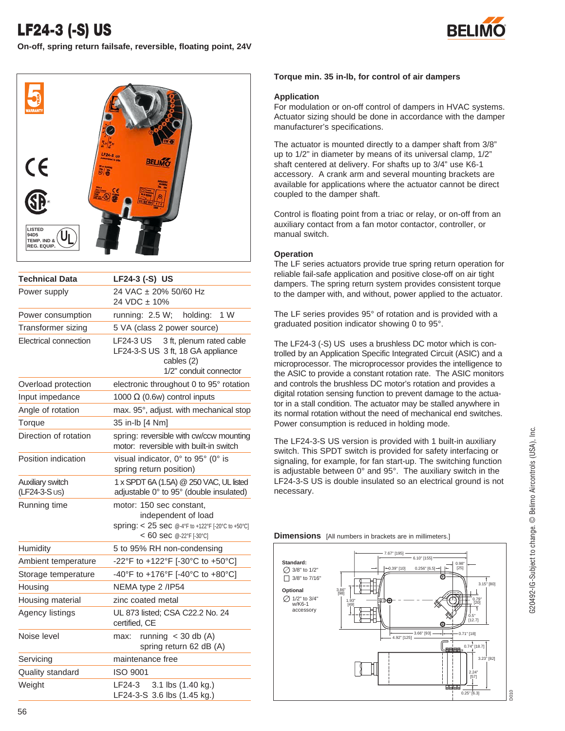**On-off, spring return failsafe, reversible, floating point, 24V**





| <b>Technical Data</b>            | LF24-3 (-S) US                                                                                                                  |
|----------------------------------|---------------------------------------------------------------------------------------------------------------------------------|
| Power supply                     | 24 VAC ± 20% 50/60 Hz                                                                                                           |
|                                  | 24 VDC ± 10%                                                                                                                    |
| Power consumption                | 1 W<br>running: 2.5 W;<br>holding:                                                                                              |
| Transformer sizing               | 5 VA (class 2 power source)                                                                                                     |
| Electrical connection            | LF24-3 US<br>3 ft, plenum rated cable<br>LF24-3-S US 3 ft, 18 GA appliance<br>cables (2)<br>1/2" conduit connector              |
| Overload protection              | electronic throughout 0 to 95° rotation                                                                                         |
| Input impedance                  | 1000 $\Omega$ (0.6w) control inputs                                                                                             |
| Angle of rotation                | max. 95°, adjust. with mechanical stop                                                                                          |
| Torque                           | 35 in-lb [4 Nm]                                                                                                                 |
| Direction of rotation            | spring: reversible with cw/ccw mounting<br>motor: reversible with built-in switch                                               |
| Position indication              | visual indicator. 0° to 95° (0° is<br>spring return position)                                                                   |
| Auxiliary switch<br>(LF24-3-SUS) | 1 x SPDT 6A (1.5A) @ 250 VAC, UL listed<br>adjustable 0° to 95° (double insulated)                                              |
| Running time                     | motor: 150 sec constant,<br>independent of load<br>Spring: < 25 sec @-4°F to +122°F [-20°C to +50°C]<br>< 60 sec @-22°F [-30°C] |
| Humidity                         | 5 to 95% RH non-condensing                                                                                                      |
| Ambient temperature              | -22°F to +122°F [-30°C to +50°C]                                                                                                |
| Storage temperature              | -40°F to +176°F [-40°C to +80°C]                                                                                                |
| Housing                          | NEMA type 2 / IP54                                                                                                              |
| Housing material                 | zinc coated metal                                                                                                               |
| Agency listings                  | UL 873 listed; CSA C22.2 No. 24<br>certified, CE                                                                                |
| Noise level                      | running $<$ 30 db (A)<br>max:<br>spring return 62 dB (A)                                                                        |
| Servicing                        | maintenance free                                                                                                                |
| Quality standard                 | <b>ISO 9001</b>                                                                                                                 |
| Weight                           | LF24-3<br>3.1 lbs (1.40 kg.)<br>LF24-3-S 3.6 lbs (1.45 kg.)                                                                     |

### **Torque min. 35 in-lb, for control of air dampers**

### **Application**

For modulation or on-off control of dampers in HVAC systems. Actuator sizing should be done in accordance with the damper manufacturer's specifications.

The actuator is mounted directly to a damper shaft from 3/8" up to 1/2" in diameter by means of its universal clamp, 1/2" shaft centered at delivery. For shafts up to 3/4" use K6-1 accessory. A crank arm and several mounting brackets are available for applications where the actuator cannot be direct coupled to the damper shaft.

Control is floating point from a triac or relay, or on-off from an auxiliary contact from a fan motor contactor, controller, or manual switch.

### **Operation**

The LF series actuators provide true spring return operation for reliable fail-safe application and positive close-off on air tight dampers. The spring return system provides consistent torque to the damper with, and without, power applied to the actuator.

The LF series provides 95° of rotation and is provided with a graduated position indicator showing 0 to 95°.

The LF24-3 (-S) US uses a brushless DC motor which is controlled by an Application Specific Integrated Circuit (ASIC) and a microprocessor. The microprocessor provides the intelligence to the ASIC to provide a constant rotation rate. The ASIC monitors and controls the brushless DC motor's rotation and provides a digital rotation sensing function to prevent damage to the actuator in a stall condition. The actuator may be stalled anywhere in its normal rotation without the need of mechanical end switches. Power consumption is reduced in holding mode.

The LF24-3-S US version is provided with 1 built-in auxiliary switch. This SPDT switch is provided for safety interfacing or signaling, for example, for fan start-up. The switching function is adjustable between 0° and 95°. The auxiliary switch in the LF24-3-S US is double insulated so an electrical ground is not necessary.

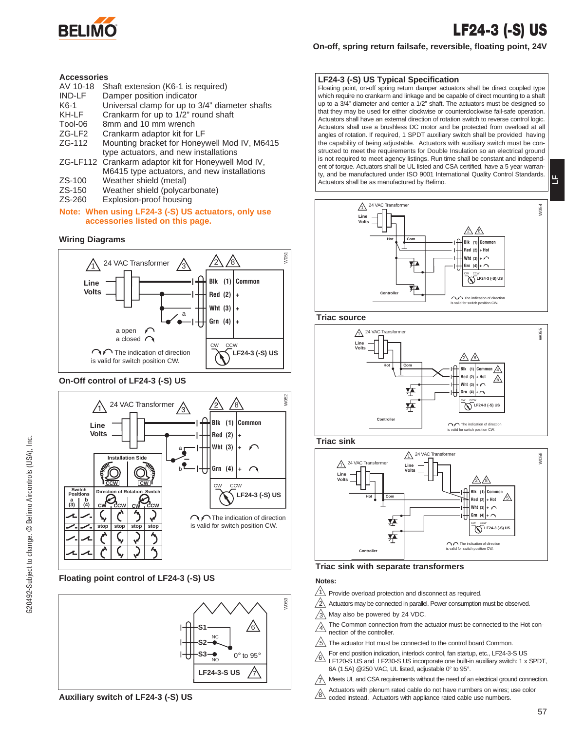

### **LF24-3 (-S) US**

**LF**

### **On-off, spring return failsafe, reversible, floating point, 24V**

#### **Accessories**

- AV 10-18 Shaft extension (K6-1 is required)<br>IND-LE Damper position indicator
- IND-LF Damper position indicator<br>K6-1 Universal clamp for up to
- Universal clamp for up to 3/4" diameter shafts
- KH-LF Crankarm for up to 1/2" round shaft
- Tool-06 8mm and 10 mm wrench
- ZG-LF2 Crankarm adaptor kit for LF
- ZG-112 Mounting bracket for Honeywell Mod IV, M6415 type actuators, and new installations
- ZG-LF112 Crankarm adaptor kit for Honeywell Mod IV, M6415 type actuators, and new installations
- ZS-100 Weather shield (metal)
- ZS-150 Weather shield (polycarbonate)<br>ZS-260 Explosion-proof housing
- Explosion-proof housing

### **Note: When using LF24-3 (-S) US actuators, only use accessories listed on this page.**

### **Wiring Diagrams**



#### **On-Off control of LF24-3 (-S) US**



### **Floating point control of LF24-3 (-S) US**



### **LF24-3 (-S) US Typical Specification**

Floating point, on-off spring return damper actuators shall be direct coupled type which require no crankarm and linkage and be capable of direct mounting to a shaft up to a 3/4" diameter and center a 1/2" shaft. The actuators must be designed so that they may be used for either clockwise or counterclockwise fail-safe operation. Actuators shall have an external direction of rotation switch to reverse control logic. Actuators shall use a brushless DC motor and be protected from overload at all angles of rotation. If required, 1 SPDT auxiliary switch shall be provided having the capability of being adjustable. Actuators with auxiliary switch must be constructed to meet the requirements for Double Insulation so an electrical ground is not required to meet agency listings. Run time shall be constant and independent of torque. Actuators shall be UL listed and CSA certified, have a 5 year warranty, and be manufactured under ISO 9001 International Quality Control Standards. Actuators shall be as manufactured by Belimo.



### **Triac source**



**Triac sink**



**Triac sink with separate transformers**

### **Notes:**

- $\sqrt{1}$  Provide overload protection and disconnect as required.
- 2 Actuators may be connected in parallel. Power consumption must be observed.
- 3 May also be powered by 24 VDC.
- $\sqrt{4}$ The Common connection from the actuator must be connected to the Hot connection of the controller.
- 5 The actuator Hot must be connected to the control board Common.
- For end position indication, interlock control, fan startup, etc., LF24-3-S US LF120-S US and LF230-S US incorporate one built-in auxiliary switch: 1 x SPDT, 6A (1.5A) @250 VAC, UL listed, adjustable 0° to 95°.  $/6\sqrt{2}$
- $\gamma\!\!\!\!\setminus$  Meets UL and CSA requirements without the need of an electrical ground connection.
- Actuators with plenum rated cable do not have numbers on wires; use color
- 8\coded instead. Actuators with appliance rated cable use numbers.

57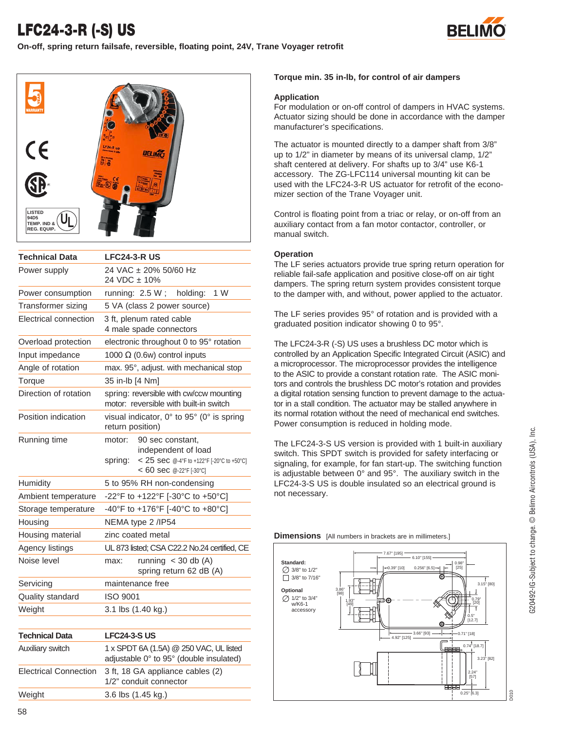## **LFC24-3-R (-S) US**

**On-off, spring return failsafe, reversible, floating point, 24V, Trane Voyager retrofit**





| <b>Technical Data</b> | <b>LFC24-3-R US</b>                                                                                                                    |  |
|-----------------------|----------------------------------------------------------------------------------------------------------------------------------------|--|
| Power supply          | 24 VAC ± 20% 50/60 Hz<br>24 VDC ± 10%                                                                                                  |  |
| Power consumption     | 1 W<br>running: $2.5 W$ ;<br>holding:                                                                                                  |  |
| Transformer sizing    | 5 VA (class 2 power source)                                                                                                            |  |
| Electrical connection | 3 ft, plenum rated cable<br>4 male spade connectors                                                                                    |  |
| Overload protection   | electronic throughout 0 to 95° rotation                                                                                                |  |
| Input impedance       | 1000 $\Omega$ (0.6w) control inputs                                                                                                    |  |
| Angle of rotation     | max. 95°, adjust. with mechanical stop                                                                                                 |  |
| Torque                | 35 in-lb [4 Nm]                                                                                                                        |  |
| Direction of rotation | spring: reversible with cw/ccw mounting<br>motor: reversible with built-in switch                                                      |  |
| Position indication   | visual indicator, 0° to 95° (0° is spring<br>return position)                                                                          |  |
| Running time          | motor:<br>90 sec constant,<br>independent of load<br>< 25 sec @-4°F to +122°F [-20°C to +50°C]<br>spring:<br>$< 60$ sec @-22°F [-30°C] |  |
| Humidity              | 5 to 95% RH non-condensing                                                                                                             |  |
| Ambient temperature   | -22°F to +122°F [-30°C to +50°C]                                                                                                       |  |
| Storage temperature   | -40°F to +176°F [-40°C to +80°C]                                                                                                       |  |
| Housing               | NEMA type 2 / IP54                                                                                                                     |  |
| Housing material      | zinc coated metal                                                                                                                      |  |
| Agency listings       | UL 873 listed; CSA C22.2 No.24 certified, CE                                                                                           |  |
| Noise level           | running $<$ 30 db (A)<br>max:<br>spring return 62 dB (A)                                                                               |  |
| Servicing             | maintenance free                                                                                                                       |  |
| Quality standard      | <b>ISO 9001</b>                                                                                                                        |  |
| Weight                | 3.1 lbs (1.40 kg.)                                                                                                                     |  |
| <b>Technical Data</b> | <b>LFC24-3-S US</b>                                                                                                                    |  |
| Auxiliary switch      | 1 x SPDT 6A (1.5A) @ 250 VAC, UL listed<br>adjustable 0° to 95° (double insulated)                                                     |  |

Electrical Connection 3 ft, 18 GA appliance cables (2)

Weight 3.6 lbs (1.45 kg.)

1/2" conduit connector

### **Torque min. 35 in-lb, for control of air dampers**

### **Application**

For modulation or on-off control of dampers in HVAC systems. Actuator sizing should be done in accordance with the damper manufacturer's specifications.

The actuator is mounted directly to a damper shaft from 3/8" up to 1/2" in diameter by means of its universal clamp, 1/2" shaft centered at delivery. For shafts up to 3/4" use K6-1 accessory. The ZG-LFC114 universal mounting kit can be used with the LFC24-3-R US actuator for retrofit of the economizer section of the Trane Voyager unit.

Control is floating point from a triac or relay, or on-off from an auxiliary contact from a fan motor contactor, controller, or manual switch.

### **Operation**

The LF series actuators provide true spring return operation for reliable fail-safe application and positive close-off on air tight dampers. The spring return system provides consistent torque to the damper with, and without, power applied to the actuator.

The LF series provides 95° of rotation and is provided with a graduated position indicator showing 0 to 95°.

The LFC24-3-R (-S) US uses a brushless DC motor which is controlled by an Application Specific Integrated Circuit (ASIC) and a microprocessor. The microprocessor provides the intelligence to the ASIC to provide a constant rotation rate. The ASIC monitors and controls the brushless DC motor's rotation and provides a digital rotation sensing function to prevent damage to the actuator in a stall condition. The actuator may be stalled anywhere in its normal rotation without the need of mechanical end switches. Power consumption is reduced in holding mode.

The LFC24-3-S US version is provided with 1 built-in auxiliary switch. This SPDT switch is provided for safety interfacing or signaling, for example, for fan start-up. The switching function is adjustable between 0° and 95°. The auxiliary switch in the LFC24-3-S US is double insulated so an electrical ground is not necessary.

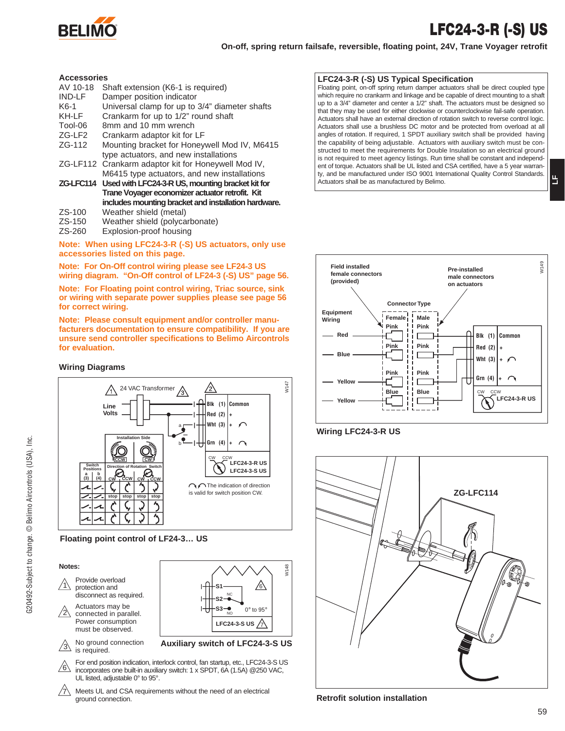

# **LFC24-3-R (-S) US**

**LF**

**On-off, spring return failsafe, reversible, floating point, 24V, Trane Voyager retrofit**

#### **Accessories**

| лььсээм 169   |                                                            |
|---------------|------------------------------------------------------------|
| AV 10-18      | Shaft extension (K6-1 is required)                         |
| <b>IND-LF</b> | Damper position indicator                                  |
| K6-1          | Universal clamp for up to 3/4" diameter shafts             |
| KH-LF         | Crankarm for up to 1/2" round shaft                        |
| Tool-06       | 8mm and 10 mm wrench                                       |
| ZG-LF2        | Crankarm adaptor kit for LF                                |
| ZG-112        | Mounting bracket for Honeywell Mod IV, M6415               |
|               | type actuators, and new installations                      |
|               | ZG-LF112 Crankarm adaptor kit for Honeywell Mod IV,        |
|               | M6415 type actuators, and new installations                |
|               | ZG-LFC114 Used with LFC24-3-R US, mounting bracket kit for |
|               | Trane Voyager economizer actuator retrofit. Kit            |
|               | includes mounting bracket and installation hardware.       |
|               |                                                            |

- ZS-100 Weather shield (metal)
- ZS-150 Weather shield (polycarbonate)
- ZS-260 Explosion-proof housing

**Note: When using LFC24-3-R (-S) US actuators, only use accessories listed on this page.** 

**Note: For On-Off control wiring please see LF24-3 US wiring diagram. "On-Off control of LF24-3 (-S) US" page 56.**

**Note: For Floating point control wiring, Triac source, sink or wiring with separate power supplies please see page 56 for correct wiring.** 

**Note: Please consult equipment and/or controller manufacturers documentation to ensure compatibility. If you are unsure send controller specifications to Belimo Aircontrols for evaluation.**

#### **Wiring Diagrams**





**Notes:**

- $/1\backslash$ Provide overload protection and disconnect as required.
- $/2\backslash$ Actuators may be connected in parallel. Power consumption must be observed.
- $\frac{3}{2}$  is required. No ground connection
- For end position indication, interlock control, fan startup, etc., LFC24-3-S US incorporates one built-in auxiliary switch: 1 x SPDT, 6A (1.5A) @250 VAC, UL listed, adjustable 0° to 95°.  $/6\sqrt{2}$

**LFC24-3-S US** 7

**Auxiliary switch of LFC24-3-S US**

**S2 S3** NC <u>/6\</u>

W148

 $0^\circ$  to  $95^\circ$ 

 $7\backslash$  Meets UL and CSA requirements without the need of an electrical ground connection.

### **LFC24-3-R (-S) US Typical Specification**

Floating point, on-off spring return damper actuators shall be direct coupled type which require no crankarm and linkage and be capable of direct mounting to a shaft up to a 3/4" diameter and center a 1/2" shaft. The actuators must be designed so that they may be used for either clockwise or counterclockwise fail-safe operation. Actuators shall have an external direction of rotation switch to reverse control logic. Actuators shall use a brushless DC motor and be protected from overload at all angles of rotation. If required, 1 SPDT auxiliary switch shall be provided having the capability of being adjustable. Actuators with auxiliary switch must be constructed to meet the requirements for Double Insulation so an electrical ground is not required to meet agency listings. Run time shall be constant and independent of torque. Actuators shall be UL listed and CSA certified, have a 5 year warranty, and be manufactured under ISO 9001 International Quality Control Standards. Actuators shall be as manufactured by Belimo.







**Retrofit solution installation**

59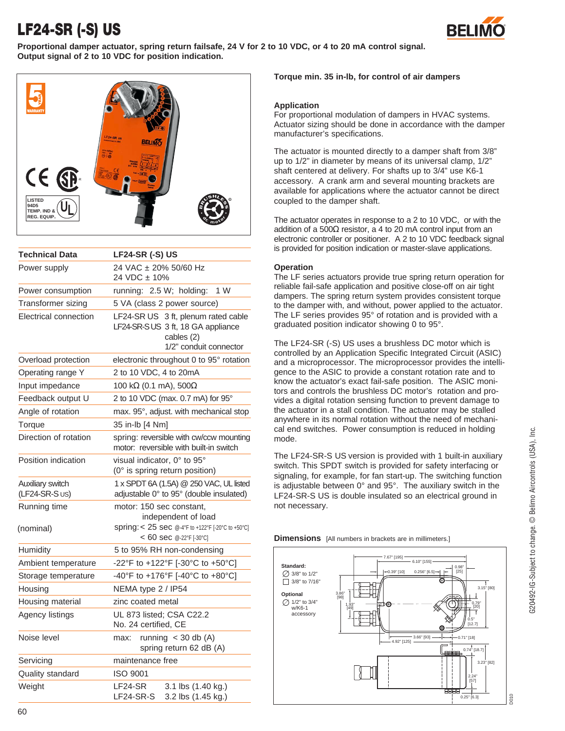# **LF24-SR (-S) US**



**Proportional damper actuator, spring return failsafe, 24 V for 2 to 10 VDC, or 4 to 20 mA control signal. Output signal of 2 to 10 VDC for position indication.**



| <b>Technical Data</b>              | <b>LF24-SR (-S) US</b>                                                                                           |
|------------------------------------|------------------------------------------------------------------------------------------------------------------|
| Power supply                       | 24 VAC ± 20% 50/60 Hz<br>24 VDC ± 10%                                                                            |
| Power consumption                  | running: 2.5 W; holding:<br>1 W                                                                                  |
| Transformer sizing                 | 5 VA (class 2 power source)                                                                                      |
| Electrical connection              | LF24-SR US 3 ft, plenum rated cable<br>LF24-SR-SUS 3 ft, 18 GA appliance<br>cables (2)<br>1/2" conduit connector |
| Overload protection                | electronic throughout 0 to 95° rotation                                                                          |
| Operating range Y                  | 2 to 10 VDC, 4 to 20mA                                                                                           |
| Input impedance                    | 100 kΩ (0.1 mA), 500Ω                                                                                            |
| Feedback output U                  | 2 to 10 VDC (max. 0.7 mA) for 95°                                                                                |
| Angle of rotation                  | max. 95°, adjust. with mechanical stop                                                                           |
| Torque                             | 35 in-lb [4 Nm]                                                                                                  |
| Direction of rotation              | spring: reversible with cw/ccw mounting<br>motor: reversible with built-in switch                                |
| Position indication                | visual indicator, 0° to 95°<br>(0° is spring return position)                                                    |
| Auxiliary switch<br>(LF24-SR-S US) | 1 x SPDT 6A (1.5A) @ 250 VAC, UL listed<br>adjustable 0° to 95° (double insulated)                               |
| Running time<br>(nominal)          | motor: 150 sec constant,<br>independent of load<br>Spring: < 25 sec @-4°F to +122°F [-20°C to +50°C]             |
| Humidity                           | $< 60$ sec @-22°F [-30°C]<br>5 to 95% RH non-condensing                                                          |
| Ambient temperature                | -22°F to +122°F [-30°C to +50°C]                                                                                 |
|                                    | -40°F to +176°F [-40°C to +80°C]                                                                                 |
| Storage temperature<br>Housing     | NEMA type 2 / IP54                                                                                               |
| Housing material                   | zinc coated metal                                                                                                |
| Agency listings                    | UL 873 listed; CSA C22.2<br>No. 24 certified, CE                                                                 |
| Noise level                        | running $<$ 30 db (A)<br>max:<br>spring return 62 dB (A)                                                         |
| Servicing                          | maintenance free                                                                                                 |
| Quality standard                   | <b>ISO 9001</b>                                                                                                  |
| Weight                             | LF24-SR<br>3.1 lbs (1.40 kg.)<br>LF24-SR-S<br>3.2 lbs (1.45 kg.)                                                 |

### **Torque min. 35 in-lb, for control of air dampers**

### **Application**

For proportional modulation of dampers in HVAC systems. Actuator sizing should be done in accordance with the damper manufacturer's specifications.

The actuator is mounted directly to a damper shaft from 3/8" up to 1/2" in diameter by means of its universal clamp, 1/2" shaft centered at delivery. For shafts up to 3/4" use K6-1 accessory. A crank arm and several mounting brackets are available for applications where the actuator cannot be direct coupled to the damper shaft.

The actuator operates in response to a 2 to 10 VDC, or with the addition of a 500 $\Omega$  resistor, a 4 to 20 mA control input from an electronic controller or positioner. A 2 to 10 VDC feedback signal is provided for position indication or master-slave applications.

### **Operation**

The LF series actuators provide true spring return operation for reliable fail-safe application and positive close-off on air tight dampers. The spring return system provides consistent torque to the damper with, and without, power applied to the actuator. The LF series provides 95° of rotation and is provided with a graduated position indicator showing 0 to 95°.

The LF24-SR (-S) US uses a brushless DC motor which is controlled by an Application Specific Integrated Circuit (ASIC) and a microprocessor. The microprocessor provides the intelligence to the ASIC to provide a constant rotation rate and to know the actuator's exact fail-safe position. The ASIC monitors and controls the brushless DC motor's rotation and provides a digital rotation sensing function to prevent damage to the actuator in a stall condition. The actuator may be stalled anywhere in its normal rotation without the need of mechanical end switches. Power consumption is reduced in holding mode.

The LF24-SR-S US version is provided with 1 built-in auxiliary switch. This SPDT switch is provided for safety interfacing or signaling, for example, for fan start-up. The switching function is adjustable between 0° and 95°. The auxiliary switch in the LF24-SR-S US is double insulated so an electrical ground in not necessary.

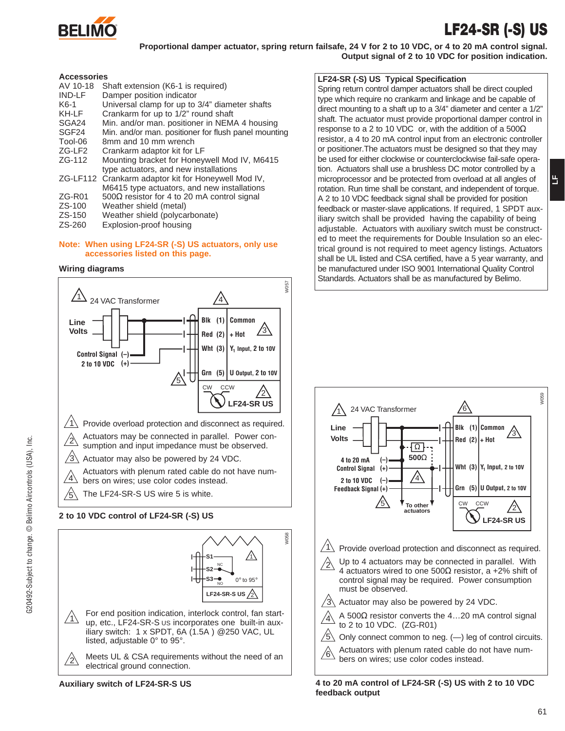

### **LF24-SR (-S) US**

**LF**

**Proportional damper actuator, spring return failsafe, 24 V for 2 to 10 VDC, or 4 to 20 mA control signal. Output signal of 2 to 10 VDC for position indication.**

### **Accessories**

| Shaft extension (K6-1 is required)<br>Damper position indicator |
|-----------------------------------------------------------------|
| Universal clamp for up to 3/4" diameter shafts                  |
| Crankarm for up to 1/2" round shaft                             |
| Min. and/or man. positioner in NEMA 4 housing                   |
| Min. and/or man. positioner for flush panel mounting            |
| 8mm and 10 mm wrench                                            |
| Crankarm adaptor kit for LF                                     |
| Mounting bracket for Honeywell Mod IV, M6415                    |
| type actuators, and new installations                           |
| ZG-LF112 Crankarm adaptor kit for Honeywell Mod IV,             |
| M6415 type actuators, and new installations                     |
| 500 $\Omega$ resistor for 4 to 20 mA control signal             |
| Weather shield (metal)                                          |
| Weather shield (polycarbonate)                                  |
|                                                                 |

ZS-260 Explosion-proof housing

#### **Note: When using LF24-SR (-S) US actuators, only use accessories listed on this page.**

### **Wiring diagrams**



 $/$  $/1$ For end position indication, interlock control, fan startup, etc., LF24-SR-S US incorporates one built-in auxiliary switch: 1 x SPDT, 6A (1.5A ) @250 VAC, UL listed, adjustable 0° to 95°. Meets UL & CSA requirements without the need of an **LF24-SR-S US**  $\sqrt{2}$ **S1** 1 **S2 S3** NC  $0^\circ$  to 95

electrical ground connection.

**Auxiliary switch of LF24-SR-S US**

### **LF24-SR (-S) US Typical Specification**

Spring return control damper actuators shall be direct coupled type which require no crankarm and linkage and be capable of direct mounting to a shaft up to a 3/4" diameter and center a 1/2" shaft. The actuator must provide proportional damper control in response to a 2 to 10 VDC or, with the addition of a 500 $\Omega$ resistor, a 4 to 20 mA control input from an electronic controller or positioner.The actuators must be designed so that they may be used for either clockwise or counterclockwise fail-safe operation. Actuators shall use a brushless DC motor controlled by a microprocessor and be protected from overload at all angles of rotation. Run time shall be constant, and independent of torque. A 2 to 10 VDC feedback signal shall be provided for position feedback or master-slave applications. If required, 1 SPDT auxiliary switch shall be provided having the capability of being adjustable. Actuators with auxiliary switch must be constructed to meet the requirements for Double Insulation so an electrical ground is not required to meet agency listings. Actuators shall be UL listed and CSA certified, have a 5 year warranty, and be manufactured under ISO 9001 International Quality Control Standards. Actuators shall be as manufactured by Belimo.



**4 to 20 mA control of LF24-SR (-S) US with 2 to 10 VDC feedback output**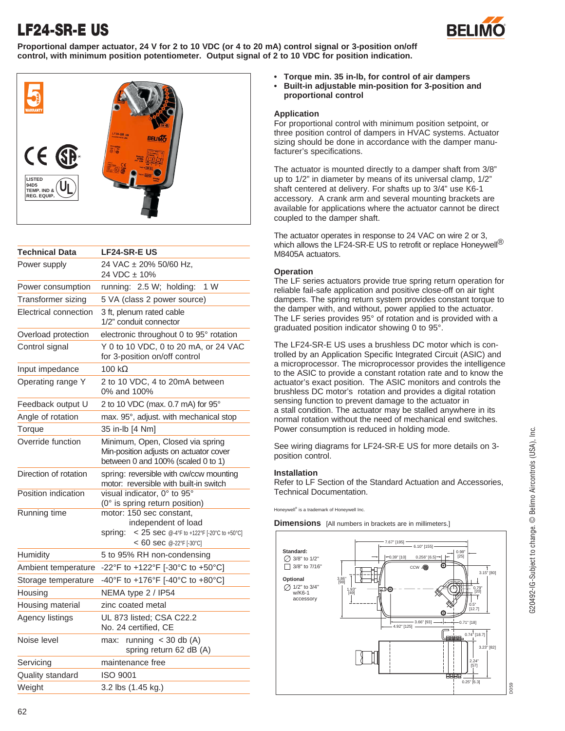# **LF24-SR-E US**



**Proportional damper actuator, 24 V for 2 to 10 VDC (or 4 to 20 mA) control signal or 3-position on/off control, with minimum position potentiometer. Output signal of 2 to 10 VDC for position indication.**



| <b>Technical Data</b> | <b>LF24-SR-E US</b>                                                                                                                  |  |  |
|-----------------------|--------------------------------------------------------------------------------------------------------------------------------------|--|--|
| Power supply          | 24 VAC ± 20% 50/60 Hz,<br>24 VDC ± 10%                                                                                               |  |  |
| Power consumption     | 1 W<br>running: 2.5 W; holding:                                                                                                      |  |  |
| Transformer sizing    | 5 VA (class 2 power source)                                                                                                          |  |  |
| Electrical connection | 3 ft, plenum rated cable<br>1/2" conduit connector                                                                                   |  |  |
| Overload protection   | electronic throughout 0 to 95° rotation                                                                                              |  |  |
| Control signal        | Y 0 to 10 VDC, 0 to 20 mA, or 24 VAC<br>for 3-position on/off control                                                                |  |  |
| Input impedance       | 100 $k\Omega$                                                                                                                        |  |  |
| Operating range Y     | 2 to 10 VDC, 4 to 20mA between<br>0% and 100%                                                                                        |  |  |
| Feedback output U     | 2 to 10 VDC (max. 0.7 mA) for 95°                                                                                                    |  |  |
| Angle of rotation     | max. 95°, adjust. with mechanical stop                                                                                               |  |  |
| Torque                | 35 in-lb [4 Nm]                                                                                                                      |  |  |
| Override function     | Minimum, Open, Closed via spring<br>Min-position adjusts on actuator cover<br>between 0 and 100% (scaled 0 to 1)                     |  |  |
| Direction of rotation | spring: reversible with cw/ccw mounting<br>motor: reversible with built-in switch                                                    |  |  |
| Position indication   | visual indicator, 0° to 95°<br>(0° is spring return position)                                                                        |  |  |
| <b>Running time</b>   | motor: 150 sec constant,<br>independent of load<br>< 25 sec @-4°F to +122°F [-20°C to +50°C]<br>spring:<br>$< 60$ sec @-22°F [-30°C] |  |  |
| Humidity              | 5 to 95% RH non-condensing                                                                                                           |  |  |
| Ambient temperature   | -22°F to +122°F [-30°C to +50°C]                                                                                                     |  |  |
| Storage temperature   | -40°F to +176°F [-40°C to +80°C]                                                                                                     |  |  |
| Housing               | NEMA type 2 / IP54                                                                                                                   |  |  |
| Housing material      | zinc coated metal                                                                                                                    |  |  |
| Agency listings       | UL 873 listed; CSA C22.2<br>No. 24 certified, CE                                                                                     |  |  |
| Noise level           | running $<$ 30 db (A)<br>max:<br>spring return 62 dB (A)                                                                             |  |  |
| Servicing             | maintenance free                                                                                                                     |  |  |
| Quality standard      | <b>ISO 9001</b>                                                                                                                      |  |  |
| Weight                | 3.2 lbs (1.45 kg.)                                                                                                                   |  |  |

- **• Torque min. 35 in-lb, for control of air dampers**
	- **• Built-in adjustable min-position for 3-position and proportional control**

### **Application**

For proportional control with minimum position setpoint, or three position control of dampers in HVAC systems. Actuator sizing should be done in accordance with the damper manufacturer's specifications.

The actuator is mounted directly to a damper shaft from 3/8" up to 1/2" in diameter by means of its universal clamp, 1/2" shaft centered at delivery. For shafts up to 3/4" use K6-1 accessory. A crank arm and several mounting brackets are available for applications where the actuator cannot be direct coupled to the damper shaft.

The actuator operates in response to 24 VAC on wire 2 or 3, which allows the LF24-SR-E US to retrofit or replace Honeywell<sup>®</sup> M8405A actuators.

### **Operation**

The LF series actuators provide true spring return operation for reliable fail-safe application and positive close-off on air tight dampers. The spring return system provides constant torque to the damper with, and without, power applied to the actuator. The LF series provides 95° of rotation and is provided with a graduated position indicator showing 0 to 95°.

The LF24-SR-E US uses a brushless DC motor which is controlled by an Application Specific Integrated Circuit (ASIC) and a microprocessor. The microprocessor provides the intelligence to the ASIC to provide a constant rotation rate and to know the actuator's exact position. The ASIC monitors and controls the brushless DC motor's rotation and provides a digital rotation sensing function to prevent damage to the actuator in a stall condition. The actuator may be stalled anywhere in its normal rotation without the need of mechanical end switches. Power consumption is reduced in holding mode.

See wiring diagrams for LF24-SR-E US for more details on 3 position control.

### **Installation**

Refer to LF Section of the Standard Actuation and Accessories, Technical Documentation.

Honeywell® is a trademark of Honeywell Inc.

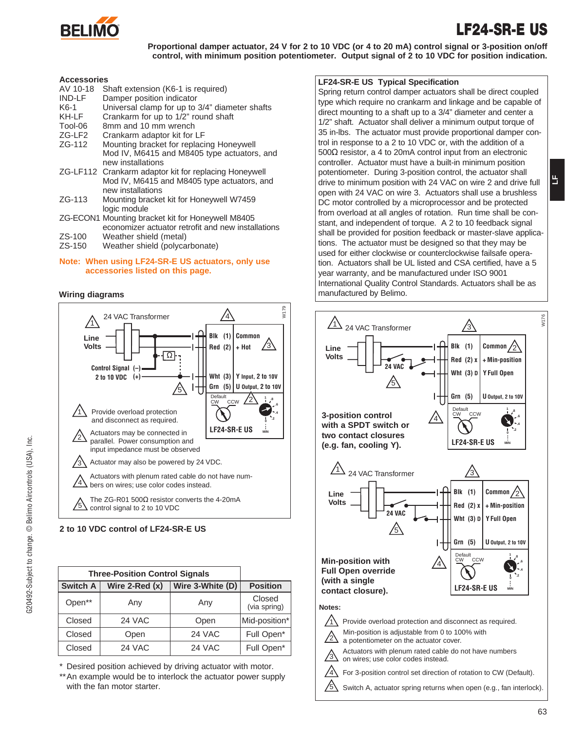

### **LF24-SR-E US**

**LF**

**Proportional damper actuator, 24 V for 2 to 10 VDC (or 4 to 20 mA) control signal or 3-position on/off control, with minimum position potentiometer. Output signal of 2 to 10 VDC for position indication.**

### **Accessories**

| AV 10-18      | Shaft extension (K6-1 is required)                    |
|---------------|-------------------------------------------------------|
| <b>IND-LF</b> | Damper position indicator                             |
| $K6-1$        | Universal clamp for up to 3/4" diameter shafts        |
| KH-LF         | Crankarm for up to 1/2" round shaft                   |
| Tool-06       | 8mm and 10 mm wrench                                  |
| $ZG-LF2$      | Crankarm adaptor kit for LF                           |
| ZG-112        | Mounting bracket for replacing Honeywell              |
|               | Mod IV, M6415 and M8405 type actuators, and           |
|               | new installations                                     |
|               | ZG-LF112 Crankarm adaptor kit for replacing Honeywell |
|               | Mod IV, M6415 and M8405 type actuators, and           |
|               | new installations                                     |
| $ZG-113$      | Mounting bracket kit for Honeywell W7459              |
|               | logic module                                          |
|               | ZG-ECON1 Mounting bracket kit for Honeywell M8405     |
|               | economizer actuator retrofit and new installations    |
| ZS-100        | Weather shield (metal)                                |

ZS-150 Weather shield (polycarbonate)

### **Note: When using LF24-SR-E US actuators, only use accessories listed on this page.**



**2 to 10 VDC control of LF24-SR-E US**

| <b>Three-Position Control Signals</b> |                     |                  |                        |
|---------------------------------------|---------------------|------------------|------------------------|
| <b>Switch A</b>                       | Wire $2$ -Red $(x)$ | Wire 3-White (D) | <b>Position</b>        |
| Open**                                | Any                 | Any              | Closed<br>(via spring) |
| Closed                                | 24 VAC              | Open             | Mid-position*          |
| Closed                                | Open                | 24 VAC           | Full Open*             |
| Closed                                | <b>24 VAC</b>       | 24 VAC           | Full Open*             |

\* Desired position achieved by driving actuator with motor.

\*\* An example would be to interlock the actuator power supply with the fan motor starter.

### **LF24-SR-E US Typical Specification**

Spring return control damper actuators shall be direct coupled type which require no crankarm and linkage and be capable of direct mounting to a shaft up to a 3/4" diameter and center a 1/2" shaft. Actuator shall deliver a minimum output torque of 35 in-lbs. The actuator must provide proportional damper control in response to a 2 to 10 VDC or, with the addition of a 500Ω resistor, a 4 to 20mA control input from an electronic controller. Actuator must have a built-in minimum position potentiometer. During 3-position control, the actuator shall drive to minimum position with 24 VAC on wire 2 and drive full open with 24 VAC on wire 3. Actuators shall use a brushless DC motor controlled by a microprocessor and be protected from overload at all angles of rotation. Run time shall be constant, and independent of torque. A 2 to 10 feedback signal shall be provided for position feedback or master-slave applications. The actuator must be designed so that they may be used for either clockwise or counterclockwise failsafe operation. Actuators shall be UL listed and CSA certified, have a 5 year warranty, and be manufactured under ISO 9001 International Quality Control Standards. Actuators shall be as **Wiring diagrams** manufactured by Belimo.

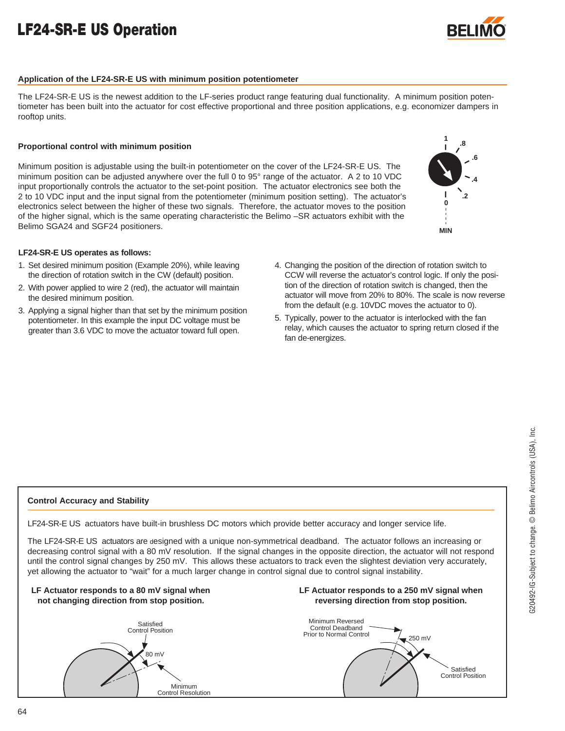# **LF24-SR-E US Operation**



### **Application of the LF24-SR-E US with minimum position potentiometer**

The LF24-SR-E US is the newest addition to the LF-series product range featuring dual functionality. A minimum position potentiometer has been built into the actuator for cost effective proportional and three position applications, e.g. economizer dampers in rooftop units.

### **Proportional control with minimum position**

Minimum position is adjustable using the built-in potentiometer on the cover of the LF24-SR-E US. The minimum position can be adjusted anywhere over the full 0 to 95° range of the actuator. A 2 to 10 VDC input proportionally controls the actuator to the set-point position. The actuator electronics see both the 2 to 10 VDC input and the input signal from the potentiometer (minimum position setting). The actuator's electronics select between the higher of these two signals. Therefore, the actuator moves to the position of the higher signal, which is the same operating characteristic the Belimo –SR actuators exhibit with the Belimo SGA24 and SGF24 positioners.



**.8**

**1**

### **LF24-SR-E US operates as follows:**

- 1. Set desired minimum position (Example 20%), while leaving the direction of rotation switch in the CW (default) position.
- 2. With power applied to wire 2 (red), the actuator will maintain the desired minimum position.
- 3. Applying a signal higher than that set by the minimum position potentiometer. In this example the input DC voltage must be greater than 3.6 VDC to move the actuator toward full open.
- 4. Changing the position of the direction of rotation switch to CCW will reverse the actuator's control logic. If only the position of the direction of rotation switch is changed, then the actuator will move from 20% to 80%. The scale is now reverse from the default (e.g. 10VDC moves the actuator to 0).
- 5. Typically, power to the actuator is interlocked with the fan relay, which causes the actuator to spring return closed if the fan de-energizes.

### **Control Accuracy and Stability**

LF24-SR-E US actuators have built-in brushless DC motors which provide better accuracy and longer service life.

The LF24-SR-E US actuators are designed with a unique non-symmetrical deadband. The actuator follows an increasing or decreasing control signal with a 80 mV resolution. If the signal changes in the opposite direction, the actuator will not respond until the control signal changes by 250 mV. This allows these actuators to track even the slightest deviation very accurately, yet allowing the actuator to "wait" for a much larger change in control signal due to control signal instability.

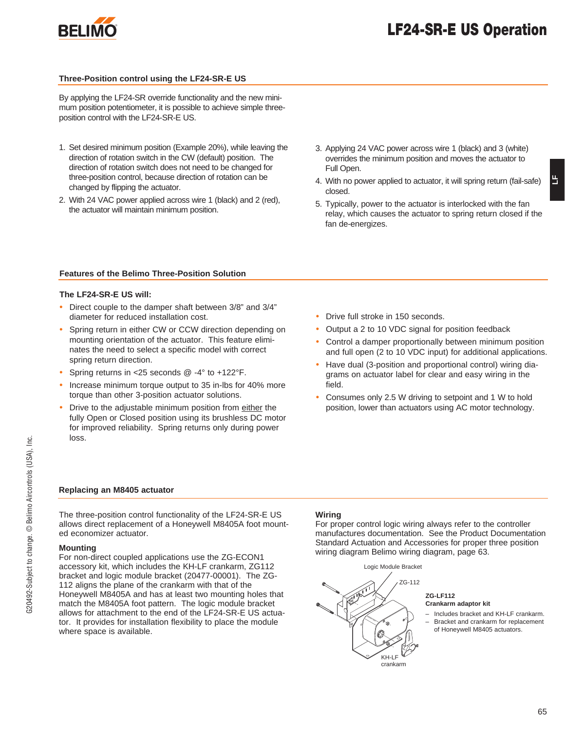

### **Three-Position control using the LF24-SR-E US**

By applying the LF24-SR override functionality and the new minimum position potentiometer, it is possible to achieve simple threeposition control with the LF24-SR-E US.

- 1. Set desired minimum position (Example 20%), while leaving the direction of rotation switch in the CW (default) position. The direction of rotation switch does not need to be changed for three-position control, because direction of rotation can be changed by flipping the actuator.
- 2. With 24 VAC power applied across wire 1 (black) and 2 (red), the actuator will maintain minimum position.
- 3. Applying 24 VAC power across wire 1 (black) and 3 (white) overrides the minimum position and moves the actuator to Full Open.
- 4. With no power applied to actuator, it will spring return (fail-safe) closed.
- 5. Typically, power to the actuator is interlocked with the fan relay, which causes the actuator to spring return closed if the fan de-energizes.

### **Features of the Belimo Three-Position Solution**

### **The LF24-SR-E US will:**

- Direct couple to the damper shaft between 3/8" and 3/4" diameter for reduced installation cost.
- Spring return in either CW or CCW direction depending on mounting orientation of the actuator. This feature eliminates the need to select a specific model with correct spring return direction.
- Spring returns in <25 seconds @ -4° to +122°F.
- Increase minimum torque output to 35 in-lbs for 40% more torque than other 3-position actuator solutions.
- Drive to the adjustable minimum position from either the fully Open or Closed position using its brushless DC motor for improved reliability. Spring returns only during power loss.
- Drive full stroke in 150 seconds.
- Output a 2 to 10 VDC signal for position feedback
- Control a damper proportionally between minimum position and full open (2 to 10 VDC input) for additional applications.
- Have dual (3-position and proportional control) wiring diagrams on actuator label for clear and easy wiring in the field.
- Consumes only 2.5 W driving to setpoint and 1 W to hold position, lower than actuators using AC motor technology.

### **Replacing an M8405 actuator**

The three-position control functionality of the LF24-SR-E US allows direct replacement of a Honeywell M8405A foot mounted economizer actuator.

### **Mounting**

For non-direct coupled applications use the ZG-ECON1 accessory kit, which includes the KH-LF crankarm, ZG112 bracket and logic module bracket (20477-00001). The ZG-112 aligns the plane of the crankarm with that of the Honeywell M8405A and has at least two mounting holes that match the M8405A foot pattern. The logic module bracket allows for attachment to the end of the LF24-SR-E US actuator. It provides for installation flexibility to place the module where space is available.

### **Wiring**

For proper control logic wiring always refer to the controller manufactures documentation. See the Product Documentation Standard Actuation and Accessories for proper three position wiring diagram Belimo wiring diagram, page 63.



### **ZG-LF112 Crankarm adaptor kit**

– Includes bracket and KH-LF crankarm. – Bracket and crankarm for replacement of Honeywell M8405 actuators.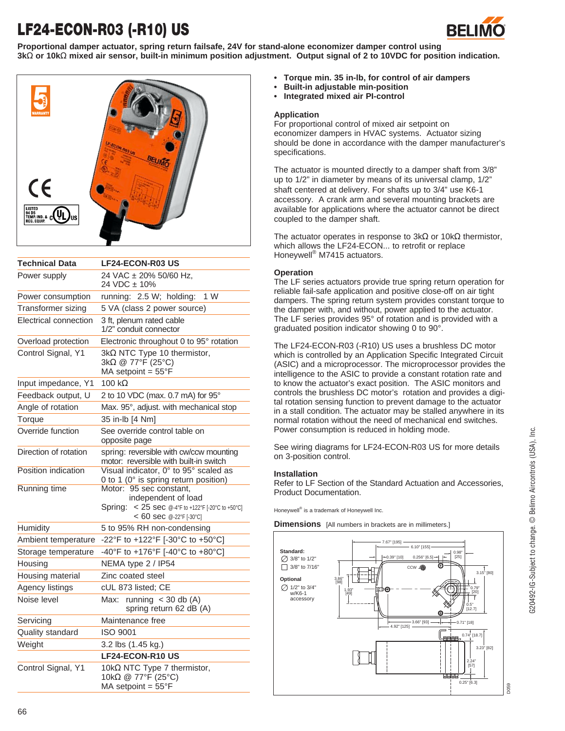# **LF24-ECON-R03 (-R10) US**



**Proportional damper actuator, spring return failsafe, 24V for stand-alone economizer damper control using 3k**Ω **or 10k**Ω **mixed air sensor, built-in minimum position adjustment. Output signal of 2 to 10VDC for position indication.**



| <b>Technical Data</b>     | <b>LF24-ECON-R03 US</b>                                                                                                           |
|---------------------------|-----------------------------------------------------------------------------------------------------------------------------------|
| Power supply              | 24 VAC ± 20% 50/60 Hz,<br>24 VDC ± 10%                                                                                            |
| Power consumption         | running: 2.5 W; holding:<br>1 W                                                                                                   |
| <b>Transformer sizing</b> | 5 VA (class 2 power source)                                                                                                       |
| Electrical connection     | 3 ft, plenum rated cable<br>1/2" conduit connector                                                                                |
| Overload protection       | Electronic throughout 0 to 95° rotation                                                                                           |
| Control Signal, Y1        | $3k\Omega$ NTC Type 10 thermistor,<br>$3k\Omega \otimes 77^{\circ}$ F (25°C)<br>MA setpoint = $55^{\circ}F$                       |
| Input impedance, Y1       | $100 k\Omega$                                                                                                                     |
| Feedback output, U        | 2 to 10 VDC (max. 0.7 mA) for 95°                                                                                                 |
| Angle of rotation         | Max. 95°, adjust. with mechanical stop                                                                                            |
| Torque                    | 35 in-lb [4 Nm]                                                                                                                   |
| Override function         | See override control table on<br>opposite page                                                                                    |
| Direction of rotation     | spring: reversible with cw/ccw mounting<br>motor: reversible with built-in switch                                                 |
| Position indication       | Visual indicator, 0° to 95° scaled as<br>0 to 1 (0° is spring return position)                                                    |
| <b>Running time</b>       | Motor: 95 sec constant,<br>independent of load<br>< 25 sec @-4°F to +122°F [-20°C to +50°C]<br>Spring:<br>< 60 sec @-22°F [-30°C] |
| Humidity                  | 5 to 95% RH non-condensing                                                                                                        |
| Ambient temperature       | -22°F to +122°F [-30°C to +50°C]                                                                                                  |
| Storage temperature       | -40°F to +176°F [-40°C to +80°C]                                                                                                  |
| Housing                   | NEMA type 2 / IP54                                                                                                                |
| Housing material          | Zinc coated steel                                                                                                                 |
| Agency listings           | cUL 873 listed; CE                                                                                                                |
| Noise level               | Max: running $<$ 30 db (A)<br>spring return 62 dB (A)                                                                             |
| Servicing                 | Maintenance free                                                                                                                  |
| Quality standard          | <b>ISO 9001</b>                                                                                                                   |
| Weight                    | 3.2 lbs (1.45 kg.)                                                                                                                |
|                           | <b>LF24-ECON-R10 US</b>                                                                                                           |
| Control Signal, Y1        | 10kΩ NTC Type 7 thermistor,<br>10kΩ @ 77°F (25°C)<br>MA setpoint = $55^{\circ}F$                                                  |

- **• Torque min. 35 in-lb, for control of air dampers**
- **• Built-in adjustable min-position**
- **• Integrated mixed air PI-control**

### **Application**

For proportional control of mixed air setpoint on economizer dampers in HVAC systems. Actuator sizing should be done in accordance with the damper manufacturer's specifications.

The actuator is mounted directly to a damper shaft from 3/8" up to 1/2" in diameter by means of its universal clamp, 1/2" shaft centered at delivery. For shafts up to 3/4" use K6-1 accessory. A crank arm and several mounting brackets are available for applications where the actuator cannot be direct coupled to the damper shaft.

The actuator operates in response to  $3k\Omega$  or 10k $\Omega$  thermistor, which allows the LF24-ECON... to retrofit or replace Honeywell® M7415 actuators.

### **Operation**

The LF series actuators provide true spring return operation for reliable fail-safe application and positive close-off on air tight dampers. The spring return system provides constant torque to the damper with, and without, power applied to the actuator. The LF series provides 95° of rotation and is provided with a graduated position indicator showing 0 to 90°.

The LF24-ECON-R03 (-R10) US uses a brushless DC motor which is controlled by an Application Specific Integrated Circuit (ASIC) and a microprocessor. The microprocessor provides the intelligence to the ASIC to provide a constant rotation rate and to know the actuator's exact position. The ASIC monitors and controls the brushless DC motor's rotation and provides a digital rotation sensing function to prevent damage to the actuator in a stall condition. The actuator may be stalled anywhere in its normal rotation without the need of mechanical end switches. Power consumption is reduced in holding mode.

See wiring diagrams for LF24-ECON-R03 US for more details on 3-position control.

### **Installation**

Refer to LF Section of the Standard Actuation and Accessories, Product Documentation.

Honeywell<sup>®</sup> is a trademark of Honeywell Inc.

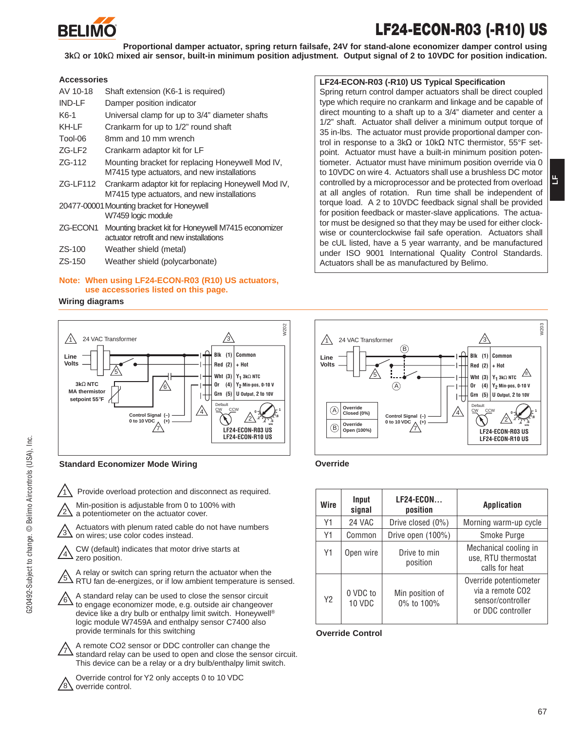

# **LF24-ECON-R03 (-R10) US**

**Proportional damper actuator, spring return failsafe, 24V for stand-alone economizer damper control using 3k**Ω **or 10k**Ω **mixed air sensor, built-in minimum position adjustment. Output signal of 2 to 10VDC for position indication.**

### **Accessories**

| AV 10-18 | Shaft extension (K6-1 is required)                                                                  |
|----------|-----------------------------------------------------------------------------------------------------|
| IND-LF   | Damper position indicator                                                                           |
| $K6-1$   | Universal clamp for up to 3/4" diameter shafts                                                      |
| KH-LF    | Crankarm for up to 1/2" round shaft                                                                 |
| Tool-06  | 8mm and 10 mm wrench                                                                                |
| ZG-LF2   | Crankarm adaptor kit for LF                                                                         |
| ZG-112   | Mounting bracket for replacing Honeywell Mod IV,                                                    |
|          | M7415 type actuators, and new installations                                                         |
| ZG-LF112 | Crankarm adaptor kit for replacing Honeywell Mod IV,<br>M7415 type actuators, and new installations |
|          | 20477-00001 Mounting bracket for Honeywell                                                          |
|          | W7459 logic module                                                                                  |
| ZG-ECON1 | Mounting bracket kit for Honeywell M7415 economizer<br>actuator retrofit and new installations      |
| $ZS-100$ | Weather shield (metal)                                                                              |
| $ZS-150$ | Weather shield (polycarbonate)                                                                      |
|          |                                                                                                     |

### **Note: When using LF24-ECON-R03 (R10) US actuators, use accessories listed on this page.**

### **Wiring diagrams**



1 Provide overload protection and disconnect as required.

Min-position is adjustable from 0 to 100% with a potentiometer on the actuator cover.

3 Actuators with plenum rated cable do not have numbers on wires; use color codes instead.

CW (default) indicates that motor drive starts at zero position.

5 A relay or switch can spring return the actuator when the RTU fan de-energizes, or if low ambient temperature is sensed.

- $\sqrt{6}$ A standard relay can be used to close the sensor circuit to engage economizer mode, e.g. outside air changeover device like a dry bulb or enthalpy limit switch. Honeywell® logic module W7459A and enthalpy sensor C7400 also provide terminals for this switching
	- 7 A remote CO2 sensor or DDC controller can change the standard relay can be used to open and close the sensor circuit. This device can be a relay or a dry bulb/enthalpy limit switch.

8 Override control for Y2 only accepts 0 to 10 VDC override control.

### **LF24-ECON-R03 (-R10) US Typical Specification**

Spring return control damper actuators shall be direct coupled type which require no crankarm and linkage and be capable of direct mounting to a shaft up to a 3/4" diameter and center a 1/2" shaft. Actuator shall deliver a minimum output torque of 35 in-lbs. The actuator must provide proportional damper control in response to a 3kΩ or 10kΩ NTC thermistor, 55°F setpoint. Actuator must have a built-in minimum position potentiometer. Actuator must have minimum position override via 0 to 10VDC on wire 4. Actuators shall use a brushless DC motor controlled by a microprocessor and be protected from overload at all angles of rotation. Run time shall be independent of torque load. A 2 to 10VDC feedback signal shall be provided for position feedback or master-slave applications. The actuator must be designed so that they may be used for either clockwise or counterclockwise fail safe operation. Actuators shall be cUL listed, have a 5 year warranty, and be manufactured under ISO 9001 International Quality Control Standards. Actuators shall be as manufactured by Belimo.

#### W203  $\sqrt{1}$  24 VAC Transformer 3 B **Blk (1) Common Line Volts**  $Red (2)$  + Hot  $\mathbb{A}$ 5 **Wht (3)** Y<sub>1</sub> 3kΩ NTC<br>Or (4) Y<sub>2</sub> Min-pos, 0 **Or (4) Y2 Min-pos, 0-10 V**  $\circledA$ **Grn (5) U Output, 2 to 10V**   $H$ **Override**  Default  $\circledA$  $\bigwedge$ CW CCW **<sup>0</sup> Closed (0%) 1 Control Signal (–) .8** 2 **0 to 10 VDC (+) .2**  $\mathcal{A}^{(4)}$ **.4 .6 Override**  B **MIN Open (100%) LF24-ECON-R03 US LF24-ECON-R10 US**

| Wire | Input<br>signal    | <b>LF24-ECON</b><br>position  | <b>Application</b>                                                                   |
|------|--------------------|-------------------------------|--------------------------------------------------------------------------------------|
| Υ1   | 24 VAC             | Drive closed (0%)             | Morning warm-up cycle                                                                |
| Υ1   | Common             | Drive open $(100\%)$          | Smoke Purge                                                                          |
| Y1   | Open wire          | Drive to min<br>position      | Mechanical cooling in<br>use, RTU thermostat<br>calls for heat                       |
| Y2   | 0 VDC to<br>10 VDC | Min position of<br>0% to 100% | Override potentiometer<br>via a remote CO2<br>sensor/controller<br>or DDC controller |

### **Override Control**

G20492-Subject to change. @ Belimo Aircontrols (USA), Inc. G20492-Subject to change. © Belimo Aircontrols (USA), Inc.

2

**LF**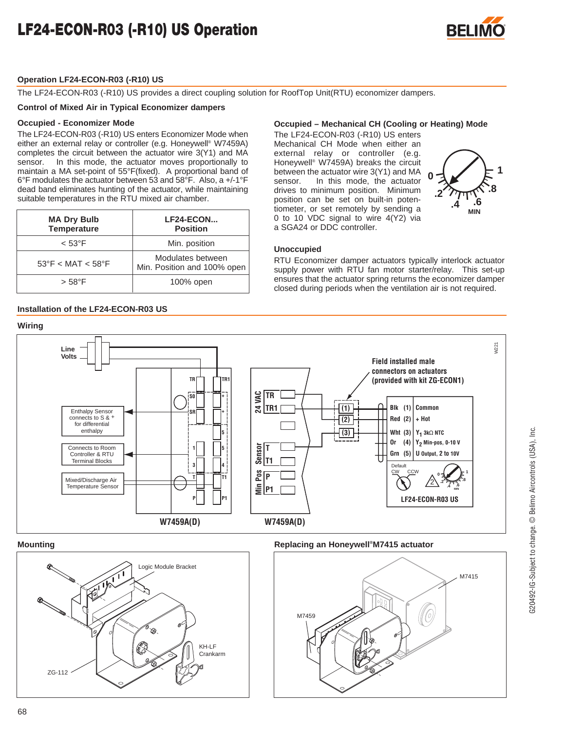

### **Operation LF24-ECON-R03 (-R10) US**

The LF24-ECON-R03 (-R10) US provides a direct coupling solution for RoofTop Unit(RTU) economizer dampers.

### **Control of Mixed Air in Typical Economizer dampers**

### **Occupied - Economizer Mode**

The LF24-ECON-R03 (-R10) US enters Economizer Mode when either an external relay or controller (e.g. Honeywell® W7459A) completes the circuit between the actuator wire 3(Y1) and MA sensor. In this mode, the actuator moves proportionally to maintain a MA set-point of 55°F(fixed). A proportional band of 6°F modulates the actuator between 53 and 58°F. Also, a +/-1°F dead band eliminates hunting of the actuator, while maintaining suitable temperatures in the RTU mixed air chamber.

| <b>MA Dry Bulb</b><br><b>Temperature</b> | LF24-ECON<br><b>Position</b>                     |  |  |
|------------------------------------------|--------------------------------------------------|--|--|
| $< 53^{\circ}$ F                         | Min. position                                    |  |  |
| $53^{\circ}$ F < MAT < 58 $^{\circ}$ F   | Modulates between<br>Min. Position and 100% open |  |  |
| $> 58^{\circ}$ F                         | 100% open                                        |  |  |

### **Installation of the LF24-ECON-R03 US**

#### **Occupied – Mechanical CH (Cooling or Heating) Mode**

The LF24-ECON-R03 (-R10) US enters Mechanical CH Mode when either an external relay or controller (e.g. Honeywell® W7459A) breaks the circuit between the actuator wire 3(Y1) and MA sensor. In this mode, the actuator drives to minimum position. Minimum position can be set on built-in potentiometer, or set remotely by sending a 0 to 10 VDC signal to wire 4(Y2) via a SGA24 or DDC controller.



G20492-IG-Subject to change. © Belimo Aircontrols (USA), Inc.

G20492-IG-Subject to change. © Belimo Aircontrols (USA), Inc.

### **Unoccupied**

RTU Economizer damper actuators typically interlock actuator supply power with RTU fan motor starter/relay. This set-up ensures that the actuator spring returns the economizer damper closed during periods when the ventilation air is not required.



68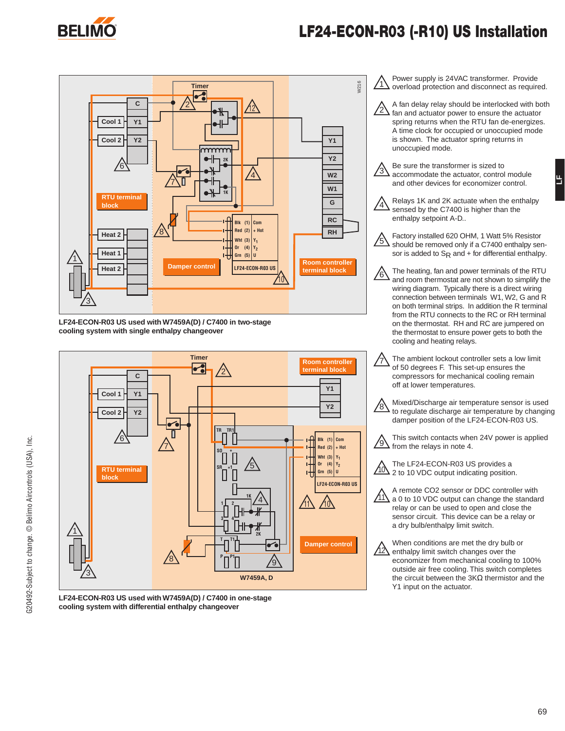

### **LF24-ECON-R03 (-R10) US Installation**



**LF24-ECON-R03 US used with W7459A(D) / C7400 in two-stage cooling system with single enthalpy changeover**



**LF24-ECON-R03 US used with W7459A(D) / C7400 in one-stage cooling system with differential enthalpy changeover**

| Power supply is 24VAC transformer. Provide<br>overload protection and disconnect as required.                                                                                                                                                                                                                                                                                                                                                         |
|-------------------------------------------------------------------------------------------------------------------------------------------------------------------------------------------------------------------------------------------------------------------------------------------------------------------------------------------------------------------------------------------------------------------------------------------------------|
| A fan delay relay should be interlocked with both<br>fan and actuator power to ensure the actuator<br>spring returns when the RTU fan de-energizes.<br>A time clock for occupied or unoccupied mode<br>is shown. The actuator spring returns in<br>unoccupied mode.                                                                                                                                                                                   |
| Be sure the transformer is sized to<br>accommodate the actuator, control module<br>and other devices for economizer control.                                                                                                                                                                                                                                                                                                                          |
| Relays 1K and 2K actuate when the enthalpy<br>sensed by the C7400 is higher than the<br>enthalpy setpoint A-D                                                                                                                                                                                                                                                                                                                                         |
| Factory installed 620 OHM, 1 Watt 5% Resistor<br>should be removed only if a C7400 enthalpy sen-<br>sor is added to $S_R$ and + for differential enthalpy.                                                                                                                                                                                                                                                                                            |
| The heating, fan and power terminals of the RTU<br>and room thermostat are not shown to simplify the<br>wiring diagram. Typically there is a direct wiring<br>connection between terminals W1, W2, G and R<br>on both terminal strips. In addition the R terminal<br>from the RTU connects to the RC or RH terminal<br>on the thermostat. RH and RC are jumpered on<br>the thermostat to ensure power gets to both the<br>cooling and heating relays. |
| The ambient lockout controller sets a low limit<br>of 50 degrees F. This set-up ensures the<br>compressors for mechanical cooling remain<br>off at lower temperatures.                                                                                                                                                                                                                                                                                |
| Mixed/Discharge air temperature sensor is used<br>to regulate discharge air temperature by changing<br>damper position of the LF24-ECON-R03 US.                                                                                                                                                                                                                                                                                                       |
| This switch contacts when 24V power is applied<br>from the relays in note 4.                                                                                                                                                                                                                                                                                                                                                                          |
| The LF24-ECON-R03 US provides a<br>2 to 10 VDC output indicating position.                                                                                                                                                                                                                                                                                                                                                                            |
| A remote CO2 sensor or DDC controller with<br>a 0 to 10 VDC output can change the standard<br>relay or can be used to open and close the<br>sensor circuit. This device can be a relay or<br>a dry bulb/enthalpy limit switch.                                                                                                                                                                                                                        |
| When conditions are met the dry bulb or<br>enthalpy limit switch changes over the<br>economizer from mechanical cooling to 100%<br>outside air free cooling. This switch completes<br>the circuit between the $3K\Omega$ thermistor and the<br>Y1 input on the actuator.                                                                                                                                                                              |
|                                                                                                                                                                                                                                                                                                                                                                                                                                                       |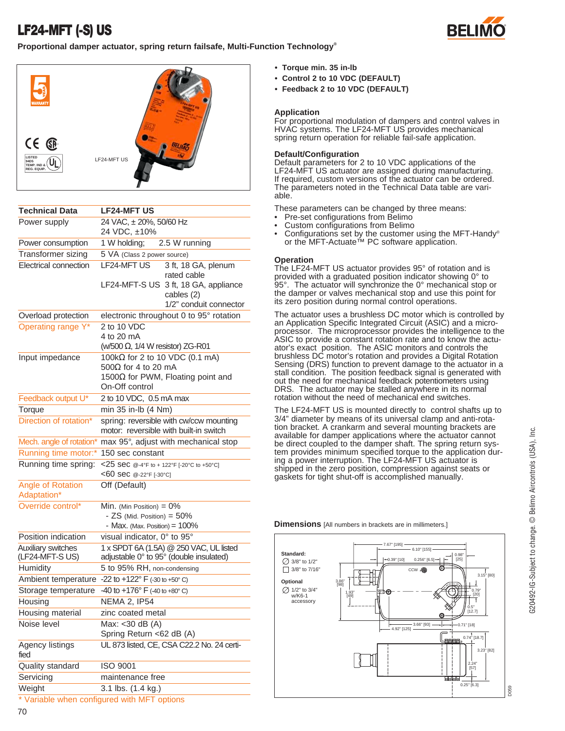### **LF24-MFT (-S) US**



**Proportional damper actuator, spring return failsafe, Multi-Function Technology®**



| <b>Technical Data</b>                | <b>LF24-MFT US</b>                                                                                 |  |  |
|--------------------------------------|----------------------------------------------------------------------------------------------------|--|--|
| Power supply                         | 24 VAC, ± 20%, 50/60 Hz<br>24 VDC, ±10%                                                            |  |  |
| Power consumption                    | 1 W holding;<br>2.5 W running                                                                      |  |  |
| Transformer sizing                   | 5 VA (Class 2 power source)                                                                        |  |  |
| Electrical connection                | LF24-MFT US<br>3 ft, 18 GA, plenum<br>rated cable                                                  |  |  |
|                                      | LF24-MFT-S US 3 ft, 18 GA, appliance<br>cables (2)<br>1/2" conduit connector                       |  |  |
| Overload protection                  | electronic throughout 0 to 95° rotation                                                            |  |  |
| Operating range Y*                   | 2 to 10 VDC<br>4 to 20 mA                                                                          |  |  |
|                                      | (w/500 $\Omega$ , 1/4 W resistor) ZG-R01                                                           |  |  |
| Input impedance                      | 100kΩ for 2 to 10 VDC (0.1 mA)<br>500 $\Omega$ for 4 to 20 mA                                      |  |  |
|                                      | 1500 $\Omega$ for PWM, Floating point and<br>On-Off control                                        |  |  |
| Feedback output U*                   | 2 to 10 VDC, 0.5 mA max                                                                            |  |  |
| Torque                               | min 35 in-lb (4 Nm)                                                                                |  |  |
| Direction of rotation*               | spring: reversible with cw/ccw mounting<br>motor: reversible with built-in switch                  |  |  |
| Mech. angle of rotation*             | max 95°, adjust with mechanical stop                                                               |  |  |
| Running time motor:*                 | 150 sec constant                                                                                   |  |  |
| Running time spring:                 | <25 SeC @-4°F to + 122°F [-20°C to +50°C]<br><60 sec @-22°F [-30°C]                                |  |  |
| Angle of Rotation<br>Adaptation*     | Off (Default)                                                                                      |  |  |
| Override control*                    | Min. (Min Position) = $0\%$<br>- $ZS$ (Mid. Position) = $50\%$<br>- Max. (Max. Position) $= 100\%$ |  |  |
| Position indication                  | visual indicator, 0° to 95°                                                                        |  |  |
| Auxiliary switches<br>(LF24-MFT-SUS) | 1 x SPDT 6A (1.5A) @ 250 VAC, UL listed<br>adjustable 0° to 95° (double insulated)                 |  |  |
| Humidity                             | 5 to 95% RH, non-condensing                                                                        |  |  |
| Ambient temperature                  | -22 to +122 $\degree$ F (-30 to +50 $\degree$ C)                                                   |  |  |
| Storage temperature                  | -40 to $+176^{\circ}$ F (-40 to +80° C)                                                            |  |  |
| Housing                              | <b>NEMA 2, IP54</b>                                                                                |  |  |
| Housing material                     | zinc coated metal                                                                                  |  |  |
| Noise level                          | Max: < 30 dB (A)<br>Spring Return <62 dB (A)                                                       |  |  |
| Agency listings<br>fied              | UL 873 listed, CE, CSA C22.2 No. 24 certi-                                                         |  |  |
| Quality standard                     | <b>ISO 9001</b>                                                                                    |  |  |
| Servicing                            | maintenance free                                                                                   |  |  |
| Weight                               | 3.1 lbs. (1.4 kg.)                                                                                 |  |  |
|                                      |                                                                                                    |  |  |

### **• Torque min. 35 in-lb**

- **Control 2 to 10 VDC (DEFAULT)**
- **Feedback 2 to 10 VDC (DEFAULT)**

### **Application**

For proportional modulation of dampers and control valves in HVAC systems. The LF24-MFT US provides mechanical spring return operation for reliable fail-safe application.

### **Default/Configuration**

Default parameters for 2 to 10 VDC applications of the LF24-MFT US actuator are assigned during manufacturing. If required, custom versions of the actuator can be ordered. The parameters noted in the Technical Data table are variable.

These parameters can be changed by three means:

- Pre-set configurations from Belimo
- Custom configurations from Belimo
- Configurations set by the customer using the MFT-Handy® or the MFT-Actuate™ PC software application.

#### **Operation**

The LF24-MFT US actuator provides 95° of rotation and is provided with a graduated position indicator showing 0° to 95°. The actuator will synchronize the 0° mechanical stop or the damper or valves mechanical stop and use this point for its zero position during normal control operations.

The actuator uses a brushless DC motor which is controlled by an Application Specific Integrated Circuit (ASIC) and a microprocessor. The microprocessor provides the intelligence to the ASIC to provide a constant rotation rate and to know the actuator's exact position. The ASIC monitors and controls the brushless DC motor's rotation and provides a Digital Rotation Sensing (DRS) function to prevent damage to the actuator in a stall condition. The position feedback signal is generated with out the need for mechanical feedback potentiometers using DRS. The actuator may be stalled anywhere in its normal rotation without the need of mechanical end switches.

The LF24-MFT US is mounted directly to control shafts up to 3/4" diameter by means of its universal clamp and anti-rotation bracket. A crankarm and several mounting brackets are available for damper applications where the actuator cannot be direct coupled to the damper shaft. The spring return system provides minimum specified torque to the application during a power interruption. The LF24-MFT US actuator is shipped in the zero position, compression against seats or gaskets for tight shut-off is accomplished manually.

#### **Dimensions** [All numbers in brackets are in millimeters.]



Variable when configured with MFT options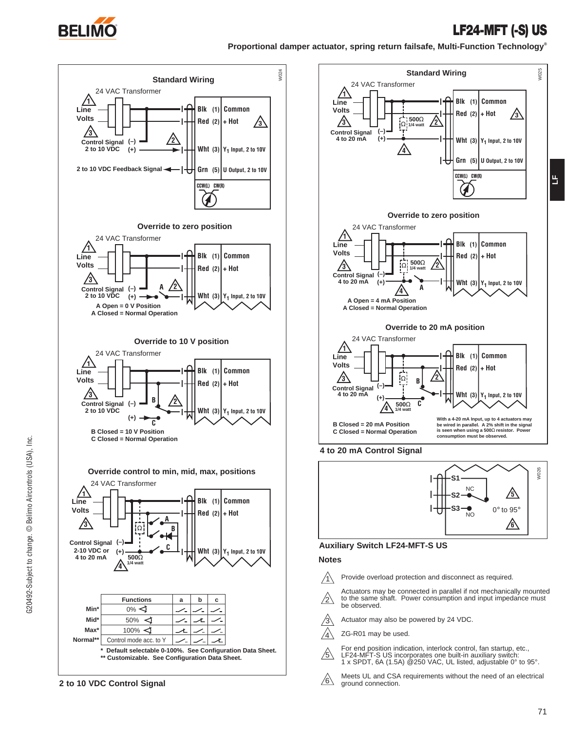

### **LF24-MFT (-S) US**

**LF**

**Proportional damper actuator, spring return failsafe, Multi-Function Technology®**







**Auxiliary Switch LF24-MFT-S US**

### **Notes**

- Provide overload protection and disconnect as required.  $\bigwedge$
- $/2\backslash$ Actuators may be connected in parallel if not mechanically mounted to the same shaft. Power consumption and input impedance must be observed.
- $/3\backslash$ Actuator may also be powered by 24 VDC.
- ZG-R01 may be used.  $\sqrt{4}$
- For end position indication, interlock control, fan startup, etc., LF24-MFT-S US incorporates one built-in auxiliary switch: 1 x SPDT, 6A (1.5A) @250 VAC, UL listed, adjustable 0° to 95°.  $/$ 5 $\setminus$ 
	-
- Meets UL and CSA requirements without the need of an electrical ground connection.  $\sqrt{6}$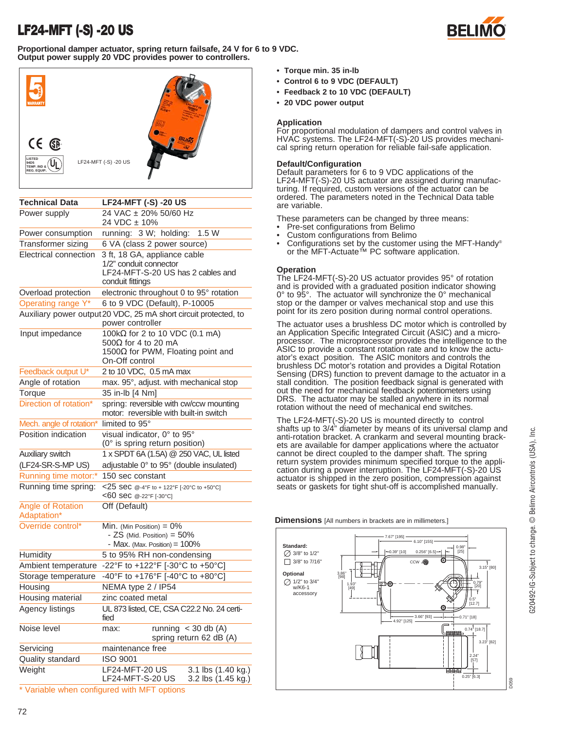### **LF24-MFT (-S) -20 US**





| <b>Technical Data</b>            | <b>LF24-MFT (-S) -20 US</b>                                                                                          |  |  |  |
|----------------------------------|----------------------------------------------------------------------------------------------------------------------|--|--|--|
| Power supply                     | 24 VAC ± 20% 50/60 Hz<br>24 VDC ± 10%                                                                                |  |  |  |
| Power consumption                | running: 3 W; holding:<br>1.5W                                                                                       |  |  |  |
| Transformer sizing               | 6 VA (class 2 power source)                                                                                          |  |  |  |
| Electrical connection            | 3 ft, 18 GA, appliance cable<br>1/2" conduit connector<br>LF24-MFT-S-20 US has 2 cables and<br>conduit fittings      |  |  |  |
| Overload protection              | electronic throughout 0 to 95° rotation                                                                              |  |  |  |
| Operating range Y*               | 6 to 9 VDC (Default), P-10005                                                                                        |  |  |  |
|                                  | Auxiliary power output 20 VDC, 25 mA short circuit protected, to<br>power controller                                 |  |  |  |
| Input impedance                  | 100kΩ for 2 to 10 VDC (0.1 mA)<br>500 $\Omega$ for 4 to 20 mA<br>1500Ω for PWM, Floating point and<br>On-Off control |  |  |  |
| Feedback output U*               | 2 to 10 VDC, 0.5 mA max                                                                                              |  |  |  |
| Angle of rotation                | max. 95°, adjust. with mechanical stop                                                                               |  |  |  |
| Torque                           | 35 in-lb [4 Nm]                                                                                                      |  |  |  |
| Direction of rotation*           | spring: reversible with cw/ccw mounting<br>motor: reversible with built-in switch                                    |  |  |  |
| Mech. angle of rotation*         | limited to 95°                                                                                                       |  |  |  |
| Position indication              | visual indicator, 0° to 95°<br>(0° is spring return position)                                                        |  |  |  |
| Auxiliary switch                 | 1 x SPDT 6A (1.5A) @ 250 VAC, UL listed                                                                              |  |  |  |
| (LF24-SR-S-MP US)                | adjustable 0° to 95° (double insulated)                                                                              |  |  |  |
| Running time motor:*             | 150 sec constant                                                                                                     |  |  |  |
| Running time spring:             | <25 SeC @-4°F to + 122°F [-20°C to +50°C]<br><60 sec @-22°F [-30°C]                                                  |  |  |  |
| Angle of Rotation<br>Adaptation* | Off (Default)                                                                                                        |  |  |  |
| Override control*                | Min. (Min Position) = $0\%$<br>$-$ ZS (Mid. Position) = 50%<br>- Max. (Max. Position) $= 100\%$                      |  |  |  |
| Humidity                         | 5 to 95% RH non-condensing                                                                                           |  |  |  |
| Ambient temperature              | -22°F to +122°F [-30°C to +50°C]                                                                                     |  |  |  |
| Storage temperature              | -40°F to +176°F [-40°C to +80°C]                                                                                     |  |  |  |
| Housing                          | NEMA type 2 / IP54                                                                                                   |  |  |  |
| Housing material                 | zinc coated metal                                                                                                    |  |  |  |
| Agency listings                  | UL 873 listed, CE, CSA C22.2 No. 24 certi-<br>fied                                                                   |  |  |  |
| Noise level                      | running $<$ 30 db (A)<br>max:<br>spring return 62 dB (A)                                                             |  |  |  |
| Servicing                        | maintenance free                                                                                                     |  |  |  |
| Quality standard                 | <b>ISO 9001</b>                                                                                                      |  |  |  |
| Weight                           | <b>LF24-MFT-20 US</b><br>3.1 lbs (1.40 kg.)<br>LF24-MFT-S-20 US<br>3.2 lbs (1.45 kg.)                                |  |  |  |
|                                  | * Variable when configured with MFT options                                                                          |  |  |  |

- **Control 6 to 9 VDC (DEFAULT)**
- **Feedback 2 to 10 VDC (DEFAULT)**
- **20 VDC power output**

### **Application**

For proportional modulation of dampers and control valves in HVAC systems. The LF24-MFT(-S)-20 US provides mechanical spring return operation for reliable fail-safe application.

### **Default/Configuration**

Default parameters for 6 to 9 VDC applications of the LF24-MFT(-S)-20 US actuator are assigned during manufacturing. If required, custom versions of the actuator can be ordered. The parameters noted in the Technical Data table are variable.

These parameters can be changed by three means:

- Pre-set configurations from Belimo
- Custom configurations from Belimo
- Configurations set by the customer using the MFT-Handy® or the MFT-Actuate™ PC software application.

### **Operation**

The LF24-MFT(-S)-20 US actuator provides 95° of rotation and is provided with a graduated position indicator showing 0° to 95°. The actuator will synchronize the 0° mechanical stop or the damper or valves mechanical stop and use this point for its zero position during normal control operations.

The actuator uses a brushless DC motor which is controlled by an Application Specific Integrated Circuit (ASIC) and a microprocessor. The microprocessor provides the intelligence to the ASIC to provide a constant rotation rate and to know the actuator's exact position. The ASIC monitors and controls the brushless DC motor's rotation and provides a Digital Rotation Sensing (DRS) function to prevent damage to the actuator in a stall condition. The position feedback signal is generated with out the need for mechanical feedback potentiometers using DRS. The actuator may be stalled anywhere in its normal rotation without the need of mechanical end switches.

The LF24-MFT(-S)-20 US is mounted directly to control shafts up to 3/4" diameter by means of its universal clamp and anti-rotation bracket. A crankarm and several mounting brackets are available for damper applications where the actuator cannot be direct coupled to the damper shaft. The spring return system provides minimum specified torque to the application during a power interruption. The LF24-MFT(-S)-20 US actuator is shipped in the zero position, compression against seats or gaskets for tight shut-off is accomplished manually.

**Dimensions** [All numbers in brackets are in millimeters.]



®

**<sup>•</sup> Torque min. 35 in-lb**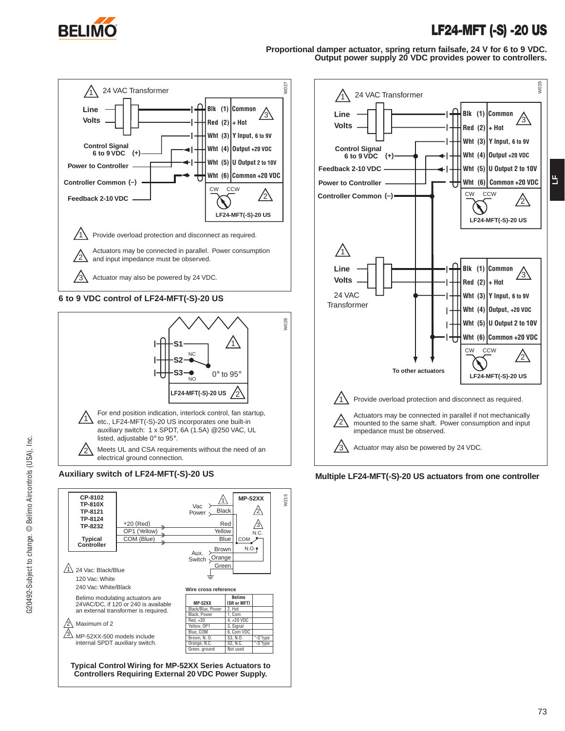

### **LF24-MFT (-S) -20 US**

**Proportional damper actuator, spring return failsafe, 24 V for 6 to 9 VDC. Output power supply 20 VDC provides power to controllers.** 



**6 to 9 VDC control of LF24-MFT(-S)-20 US**







**Auxiliary switch of LF24-MFT(-S)-20 US Multiple LF24-MFT(-S)-20 US actuators from one controller**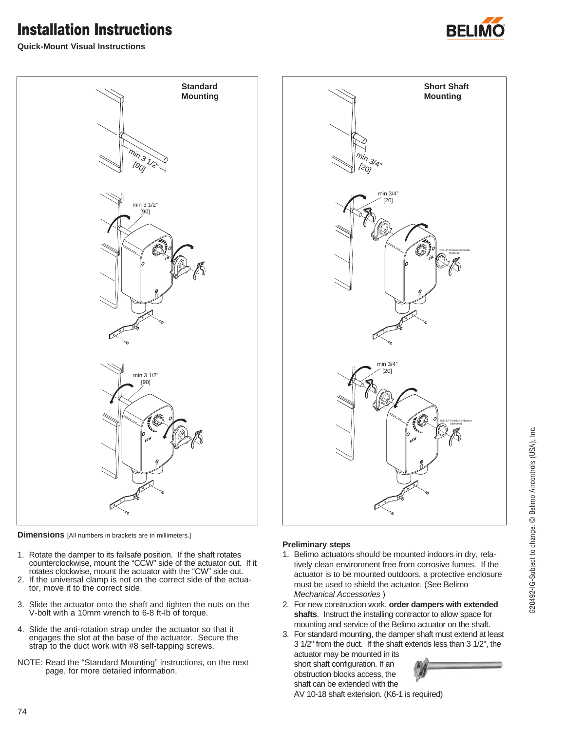## **Installation Instructions**







**Dimensions** [All numbers in brackets are in millimeters.]

- 1. Rotate the damper to its failsafe position. If the shaft rotates counterclockwise, mount the "CCW" side of the actuator out. If it rotates clockwise, mount the actuator with the "CW" side out.
- 2. If the universal clamp is not on the correct side of the actuator, move it to the correct side.
- 3. Slide the actuator onto the shaft and tighten the nuts on the V-bolt with a 10mm wrench to 6-8 ft-lb of torque.
- 4. Slide the anti-rotation strap under the actuator so that it engages the slot at the base of the actuator. Secure the strap to the duct work with #8 self-tapping screws.
- NOTE: Read the "Standard Mounting" instructions, on the next page, for more detailed information.



### **Preliminary steps**

- 1. Belimo actuators should be mounted indoors in dry, relatively clean environment free from corrosive fumes. If the actuator is to be mounted outdoors, a protective enclosure must be used to shield the actuator. (See Belimo Mechanical Accessories )
- 2. For new construction work, **order dampers with extended shafts**. Instruct the installing contractor to allow space for mounting and service of the Belimo actuator on the shaft.
- 3. For standard mounting, the damper shaft must extend at least 3 1/2" from the duct. If the shaft extends less than 3 1/2", the actuator may be mounted in its



shaft can be extended with the AV 10-18 shaft extension. (K6-1 is required)

short shaft configuration. If an obstruction blocks access, the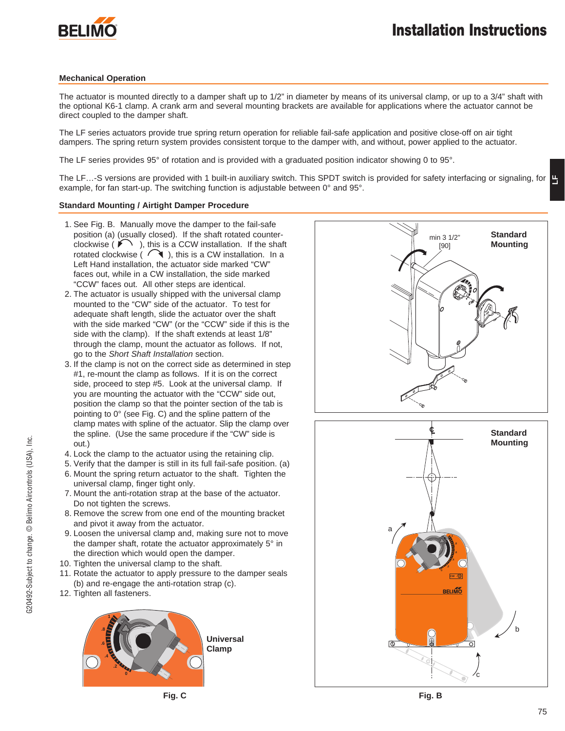

### **Mechanical Operation**

The actuator is mounted directly to a damper shaft up to 1/2" in diameter by means of its universal clamp, or up to a 3/4" shaft with the optional K6-1 clamp. A crank arm and several mounting brackets are available for applications where the actuator cannot be direct coupled to the damper shaft.

The LF series actuators provide true spring return operation for reliable fail-safe application and positive close-off on air tight dampers. The spring return system provides consistent torque to the damper with, and without, power applied to the actuator.

The LF series provides 95° of rotation and is provided with a graduated position indicator showing 0 to 95°.

The LF...-S versions are provided with 1 built-in auxiliary switch. This SPDT switch is provided for safety interfacing or signaling, for  $\Box$ example, for fan start-up. The switching function is adjustable between 0° and 95°.

### **Standard Mounting / Airtight Damper Procedure**

- 1. See Fig. B. Manually move the damper to the fail-safe position (a) (usually closed). If the shaft rotated counterclockwise ( $\bigcap$ ), this is a CCW installation. If the shaft rotated clockwise ( $\bigcap$ ), this is a CW installation. In a Left Hand installation, the actuator side marked "CW" faces out, while in a CW installation, the side marked "CCW" faces out. All other steps are identical.
- 2. The actuator is usually shipped with the universal clamp mounted to the "CW" side of the actuator. To test for adequate shaft length, slide the actuator over the shaft with the side marked "CW" (or the "CCW" side if this is the side with the clamp). If the shaft extends at least 1/8" through the clamp, mount the actuator as follows. If not, go to the Short Shaft Installation section.
- 3. If the clamp is not on the correct side as determined in step #1, re-mount the clamp as follows. If it is on the correct side, proceed to step #5. Look at the universal clamp. If you are mounting the actuator with the "CCW" side out, position the clamp so that the pointer section of the tab is pointing to 0° (see Fig. C) and the spline pattern of the clamp mates with spline of the actuator. Slip the clamp over the spline. (Use the same procedure if the "CW" side is out.)
- 4. Lock the clamp to the actuator using the retaining clip.
- 5. Verify that the damper is still in its full fail-safe position. (a) 6. Mount the spring return actuator to the shaft. Tighten the universal clamp, finger tight only.
- 7. Mount the anti-rotation strap at the base of the actuator. Do not tighten the screws.
- 8. Remove the screw from one end of the mounting bracket and pivot it away from the actuator.
- 9. Loosen the universal clamp and, making sure not to move the damper shaft, rotate the actuator approximately 5° in the direction which would open the damper.
- 10. Tighten the universal clamp to the shaft.
- 11. Rotate the actuator to apply pressure to the damper seals (b) and re-engage the anti-rotation strap (c).
- 12. Tighten all fasteners.





**Fig. C Fig. B**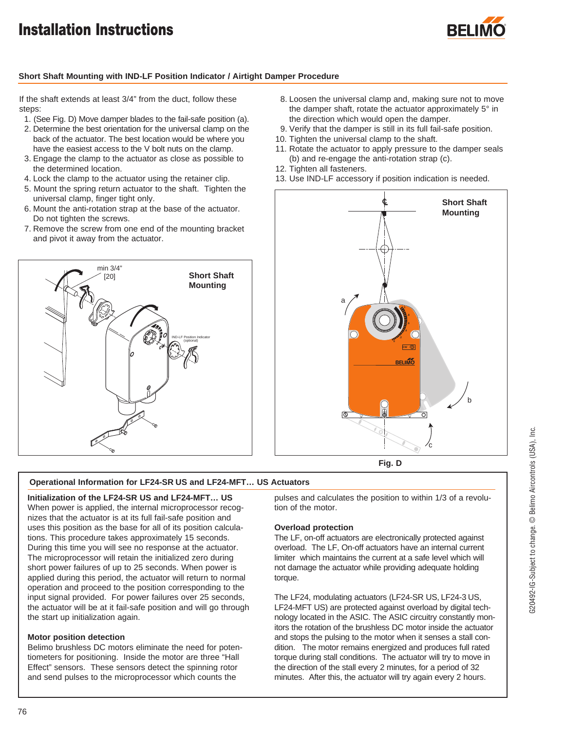## **Installation Instructions**



### **Short Shaft Mounting with IND-LF Position Indicator / Airtight Damper Procedure**

If the shaft extends at least 3/4" from the duct, follow these steps:

- 1. (See Fig. D) Move damper blades to the fail-safe position (a).
- 2. Determine the best orientation for the universal clamp on the back of the actuator. The best location would be where you have the easiest access to the V bolt nuts on the clamp.
- 3. Engage the clamp to the actuator as close as possible to the determined location.
- 4. Lock the clamp to the actuator using the retainer clip.
- 5. Mount the spring return actuator to the shaft. Tighten the universal clamp, finger tight only.
- 6. Mount the anti-rotation strap at the base of the actuator. Do not tighten the screws.
- 7. Remove the screw from one end of the mounting bracket and pivot it away from the actuator.



- 8. Loosen the universal clamp and, making sure not to move the damper shaft, rotate the actuator approximately 5° in the direction which would open the damper.
- 9. Verify that the damper is still in its full fail-safe position.
- 10. Tighten the universal clamp to the shaft.
- 11. Rotate the actuator to apply pressure to the damper seals (b) and re-engage the anti-rotation strap (c).
- 12. Tighten all fasteners.
- 13. Use IND-LF accessory if position indication is needed.



**Fig. D**

### **Operational Information for LF24-SR US and LF24-MFT… US Actuators**

### **Initialization of the LF24-SR US and LF24-MFT… US**

When power is applied, the internal microprocessor recognizes that the actuator is at its full fail-safe position and uses this position as the base for all of its position calculations. This procedure takes approximately 15 seconds. During this time you will see no response at the actuator. The microprocessor will retain the initialized zero during short power failures of up to 25 seconds. When power is applied during this period, the actuator will return to normal operation and proceed to the position corresponding to the input signal provided. For power failures over 25 seconds, the actuator will be at it fail-safe position and will go through the start up initialization again.

### **Motor position detection**

Belimo brushless DC motors eliminate the need for potentiometers for positioning. Inside the motor are three "Hall Effect" sensors. These sensors detect the spinning rotor and send pulses to the microprocessor which counts the

pulses and calculates the position to within 1/3 of a revolution of the motor.

### **Overload protection**

The LF, on-off actuators are electronically protected against overload. The LF, On-off actuators have an internal current limiter which maintains the current at a safe level which will not damage the actuator while providing adequate holding torque.

The LF24, modulating actuators (LF24-SR US, LF24-3 US, LF24-MFT US) are protected against overload by digital technology located in the ASIC. The ASIC circuitry constantly monitors the rotation of the brushless DC motor inside the actuator and stops the pulsing to the motor when it senses a stall condition. The motor remains energized and produces full rated torque during stall conditions. The actuator will try to move in the direction of the stall every 2 minutes, for a period of 32 minutes. After this, the actuator will try again every 2 hours.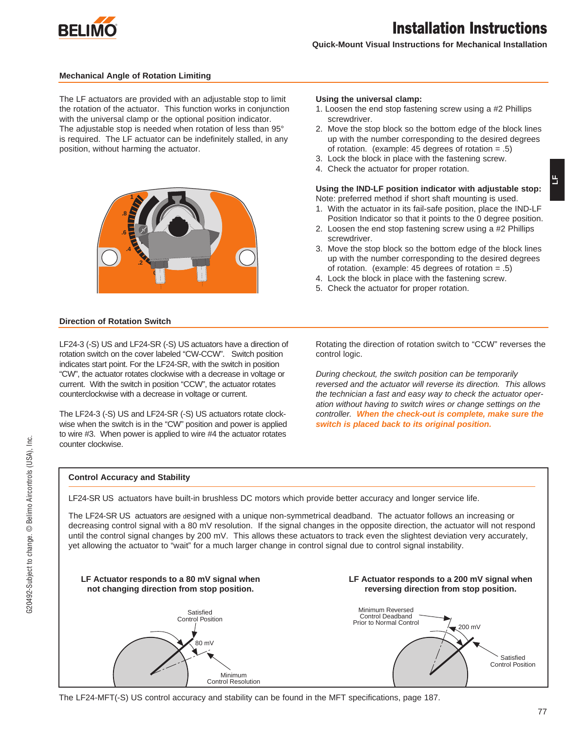

**LF**

**Quick-Mount Visual Instructions for Mechanical Installation**

### **Mechanical Angle of Rotation Limiting**

The LF actuators are provided with an adjustable stop to limit the rotation of the actuator. This function works in conjunction with the universal clamp or the optional position indicator. The adjustable stop is needed when rotation of less than 95° is required. The LF actuator can be indefinitely stalled, in any position, without harming the actuator.



### **Direction of Rotation Switch**

LF24-3 (-S) US and LF24-SR (-S) US actuators have a direction of rotation switch on the cover labeled "CW-CCW". Switch position indicates start point. For the LF24-SR, with the switch in position "CW", the actuator rotates clockwise with a decrease in voltage or current. With the switch in position "CCW", the actuator rotates counterclockwise with a decrease in voltage or current.

The LF24-3 (-S) US and LF24-SR (-S) US actuators rotate clockwise when the switch is in the "CW" position and power is applied to wire #3. When power is applied to wire #4 the actuator rotates counter clockwise.

#### **Using the universal clamp:**

- 1. Loosen the end stop fastening screw using a #2 Phillips screwdriver.
- 2. Move the stop block so the bottom edge of the block lines up with the number corresponding to the desired degrees of rotation. (example: 45 degrees of rotation  $= .5$ )
- 3. Lock the block in place with the fastening screw.
- 4. Check the actuator for proper rotation.

### **Using the IND-LF position indicator with adjustable stop:** Note: preferred method if short shaft mounting is used.

- 1. With the actuator in its fail-safe position, place the IND-LF Position Indicator so that it points to the 0 degree position.
- 2. Loosen the end stop fastening screw using a #2 Phillips screwdriver.
- 3. Move the stop block so the bottom edge of the block lines up with the number corresponding to the desired degrees of rotation. (example: 45 degrees of rotation = .5)
- 4. Lock the block in place with the fastening screw.
- 5. Check the actuator for proper rotation.

Rotating the direction of rotation switch to "CCW" reverses the control logic.

During checkout, the switch position can be temporarily reversed and the actuator will reverse its direction. This allows the technician a fast and easy way to check the actuator operation without having to switch wires or change settings on the controller. **When the check-out is complete, make sure the switch is placed back to its original position.**

### **Control Accuracy and Stability**

LF24-SR US actuators have built-in brushless DC motors which provide better accuracy and longer service life.

The LF24-SR US actuators are designed with a unique non-symmetrical deadband. The actuator follows an increasing or decreasing control signal with a 80 mV resolution. If the signal changes in the opposite direction, the actuator will not respond until the control signal changes by 200 mV. This allows these actuators to track even the slightest deviation very accurately, yet allowing the actuator to "wait" for a much larger change in control signal due to control signal instability.



The LF24-MFT(-S) US control accuracy and stability can be found in the MFT specifications, page 187.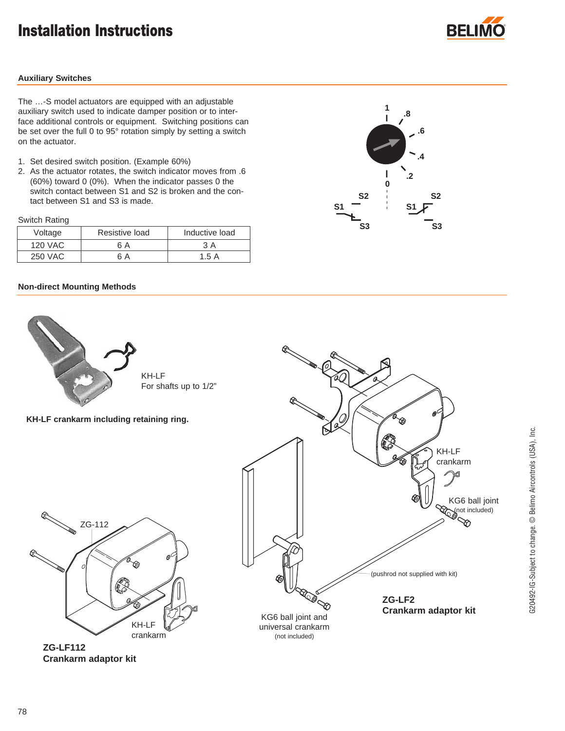## **Installation Instructions**



### **Auxiliary Switches**

The …-S model actuators are equipped with an adjustable auxiliary switch used to indicate damper position or to interface additional controls or equipment. Switching positions can be set over the full 0 to 95° rotation simply by setting a switch on the actuator.

- 1. Set desired switch position. (Example 60%)
- 2. As the actuator rotates, the switch indicator moves from .6 (60%) toward 0 (0%). When the indicator passes 0 the switch contact between S1 and S2 is broken and the contact between S1 and S3 is made.

Switch Rating

| Voltage        | Resistive load | Inductive load |
|----------------|----------------|----------------|
| <b>120 VAC</b> | 6 A            | 3 A            |
| 250 VAC        | 6 A            | 1.5A           |

### **Non-direct Mounting Methods**





**ZG-LF112 Crankarm adaptor kit**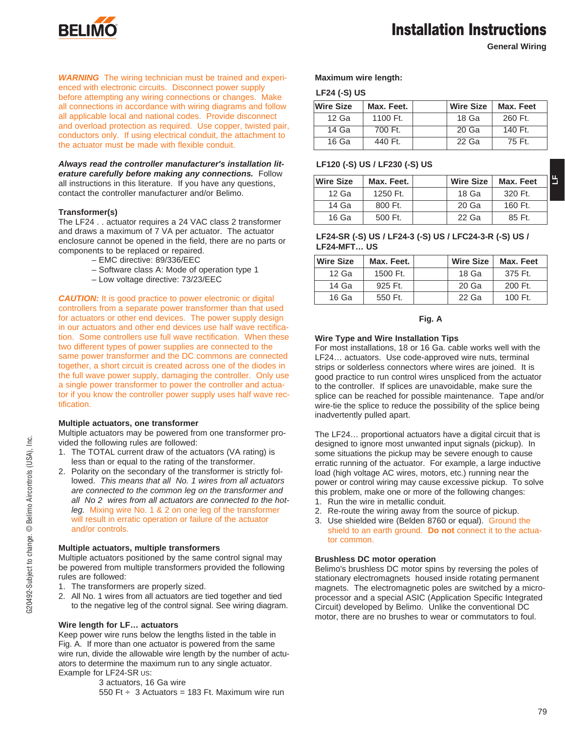

### **Installation Instructions**

**General Wiring**

**WARNING** The wiring technician must be trained and experienced with electronic circuits. Disconnect power supply before attempting any wiring connections or changes. Make all connections in accordance with wiring diagrams and follow all applicable local and national codes. Provide disconnect and overload protection as required. Use copper, twisted pair, conductors only. If using electrical conduit, the attachment to the actuator must be made with flexible conduit.

**Always read the controller manufacturer's installation literature carefully before making any connections.** Follow all instructions in this literature. If you have any questions, contact the controller manufacturer and/or Belimo.

### **Transformer(s)**

The LF24 . . actuator requires a 24 VAC class 2 transformer and draws a maximum of 7 VA per actuator. The actuator enclosure cannot be opened in the field, there are no parts or components to be replaced or repaired.

- EMC directive: 89/336/EEC
- Software class A: Mode of operation type 1
- Low voltage directive: 73/23/EEC

**CAUTION:** It is good practice to power electronic or digital controllers from a separate power transformer than that used for actuators or other end devices. The power supply design in our actuators and other end devices use half wave rectification. Some controllers use full wave rectification. When these two different types of power supplies are connected to the same power transformer and the DC commons are connected together, a short circuit is created across one of the diodes in the full wave power supply, damaging the controller. Only use a single power transformer to power the controller and actuator if you know the controller power supply uses half wave rectification.

#### **Multiple actuators, one transformer**

Multiple actuators may be powered from one transformer provided the following rules are followed:

- 1. The TOTAL current draw of the actuators (VA rating) is less than or equal to the rating of the transformer.
- 2. Polarity on the secondary of the transformer is strictly followed. This means that all No. 1 wires from all actuators are connected to the common leg on the transformer and all No 2 wires from all actuators are connected to the hotleg. Mixing wire No. 1 & 2 on one leg of the transformer will result in erratic operation or failure of the actuator and/or controls.

### **Multiple actuators, multiple transformers**

Multiple actuators positioned by the same control signal may be powered from multiple transformers provided the following rules are followed:

- 1. The transformers are properly sized.
- 2. All No. 1 wires from all actuators are tied together and tied to the negative leg of the control signal. See wiring diagram.

### **Wire length for LF… actuators**

Keep power wire runs below the lengths listed in the table in Fig. A. If more than one actuator is powered from the same wire run, divide the allowable wire length by the number of actuators to determine the maximum run to any single actuator. Example for LF24-SR US:

> 3 actuators, 16 Ga wire 550 Ft  $\div$  3 Actuators = 183 Ft. Maximum wire run

**Maximum wire length:**

### **LF24 (-S) US**

| <b>Wire Size</b> | Max. Feet. | Wire Size | Max. Feet |
|------------------|------------|-----------|-----------|
| $12$ Ga          | 1100 Ft.   | 18 Ga     | 260 Ft.   |
| 14 Ga            | 700 Ft.    | 20 Ga     | 140 Ft.   |
| 16 Ga            | 440 Ft.    | 22 Ga     | 75 Ft.    |

### **LF120 (-S) US / LF230 (-S) US**

| <b>Wire Size</b> | Max. Feet. | <b>Wire Size</b> | Max. Feet | 当 |
|------------------|------------|------------------|-----------|---|
| $12$ Ga          | 1250 Ft.   | 18 Ga            | 320 Ft.   |   |
| 14 Ga            | 800 Ft.    | 20 Ga            | 160 Ft.   |   |
| 16 Ga            | 500 Ft.    | $22$ Ga          | 85 Ft.    |   |

### **LF24-SR (-S) US / LF24-3 (-S) US / LFC24-3-R (-S) US / LF24-MFT… US**

| <b>Wire Size</b> | Max. Feet. | <b>Wire Size</b> | Max. Feet |
|------------------|------------|------------------|-----------|
| $12$ Ga          | 1500 Ft.   | 18 <sub>Ga</sub> | 375 Ft.   |
| 14 Ga            | 925 Ft.    | 20 Ga            | 200 Ft.   |
| 16 Ga            | 550 Ft.    | 22 Ga            | 100 Ft.   |

### **Fig. A**

### **Wire Type and Wire Installation Tips**

For most installations, 18 or 16 Ga. cable works well with the LF24… actuators. Use code-approved wire nuts, terminal strips or solderless connectors where wires are joined. It is good practice to run control wires unspliced from the actuator to the controller. If splices are unavoidable, make sure the splice can be reached for possible maintenance. Tape and/or wire-tie the splice to reduce the possibility of the splice being inadvertently pulled apart.

The LF24… proportional actuators have a digital circuit that is designed to ignore most unwanted input signals (pickup). In some situations the pickup may be severe enough to cause erratic running of the actuator. For example, a large inductive load (high voltage AC wires, motors, etc.) running near the power or control wiring may cause excessive pickup. To solve this problem, make one or more of the following changes:

- 1. Run the wire in metallic conduit.
- 2. Re-route the wiring away from the source of pickup.
- 3. Use shielded wire (Belden 8760 or equal). Ground the shield to an earth ground. **Do not** connect it to the actuator common.

### **Brushless DC motor operation**

Belimo's brushless DC motor spins by reversing the poles of stationary electromagnets housed inside rotating permanent magnets. The electromagnetic poles are switched by a microprocessor and a special ASIC (Application Specific Integrated Circuit) developed by Belimo. Unlike the conventional DC motor, there are no brushes to wear or commutators to foul.